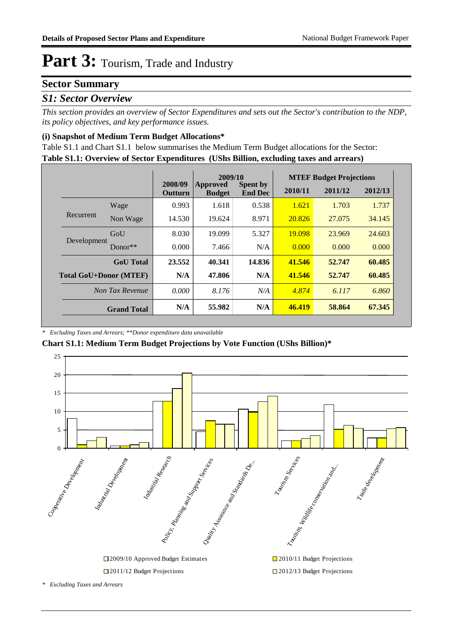#### **Sector Summary**

#### *S1: Sector Overview*

*This section provides an overview of Sector Expenditures and sets out the Sector's contribution to the NDP, its policy objectives, and key performance issues.* 

#### **(i) Snapshot of Medium Term Budget Allocations\***

**Table S1.1: Overview of Sector Expenditures (UShs Billion, excluding taxes and arrears)** Table S1.1 and Chart S1.1 below summarises the Medium Term Budget allocations for the Sector:

|                               |                    | 2009/10                   |                                  |                                   | <b>MTEF Budget Projections</b> |         |         |
|-------------------------------|--------------------|---------------------------|----------------------------------|-----------------------------------|--------------------------------|---------|---------|
|                               |                    | 2008/09<br><b>Outturn</b> | <b>Approved</b><br><b>Budget</b> | <b>Spent by</b><br><b>End Dec</b> | 2010/11                        | 2011/12 | 2012/13 |
|                               | Wage               | 0.993                     | 1.618                            | 0.538                             | 1.621                          | 1.703   | 1.737   |
| Recurrent                     | Non Wage           | 14.530                    | 19.624                           | 8.971                             | 20.826                         | 27,075  | 34.145  |
|                               | GoU                | 8.030                     | 19.099                           | 5.327                             | 19.098                         | 23.969  | 24.603  |
| Development                   | Donor $**$         | 0.000                     | 7.466                            | N/A                               | 0.000                          | 0.000   | 0.000   |
|                               | <b>GoU</b> Total   | 23.552                    | 40.341                           | 14.836                            | 41.546                         | 52.747  | 60.485  |
| <b>Total GoU+Donor (MTEF)</b> |                    | N/A                       | 47.806                           | N/A                               | 41.546                         | 52.747  | 60.485  |
|                               | Non Tax Revenue    | 0.000                     | 8.176                            | N/A                               | 4.874                          | 6.117   | 6.860   |
|                               | <b>Grand Total</b> | N/A                       | 55.982                           | N/A                               | 46.419                         | 58.864  | 67.345  |

#### *\* Excluding Taxes and Arrears; \*\*Donor expenditure data unavailable*

**Chart S1.1: Medium Term Budget Projections by Vote Function (UShs Billion)\***



*\* Excluding Taxes and Arrears*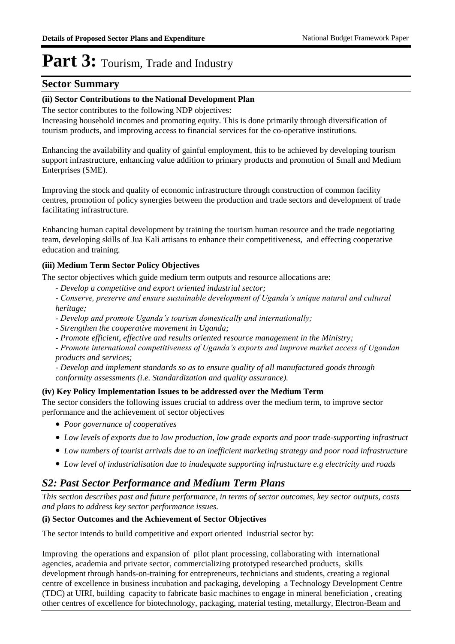#### **Sector Summary**

#### **(ii) Sector Contributions to the National Development Plan**

The sector contributes to the following NDP objectives:

Increasing household incomes and promoting equity. This is done primarily through diversification of tourism products, and improving access to financial services for the co-operative institutions.

Enhancing the availability and quality of gainful employment, this to be achieved by developing tourism support infrastructure, enhancing value addition to primary products and promotion of Small and Medium Enterprises (SME).

Improving the stock and quality of economic infrastructure through construction of common facility centres, promotion of policy synergies between the production and trade sectors and development of trade facilitating infrastructure.

Enhancing human capital development by training the tourism human resource and the trade negotiating team, developing skills of Jua Kali artisans to enhance their competitiveness, and effecting cooperative education and training.

#### **(iii) Medium Term Sector Policy Objectives**

The sector objectives which guide medium term outputs and resource allocations are:

- *Develop a competitive and export oriented industrial sector;*
- *Conserve, preserve and ensure sustainable development of Uganda's unique natural and cultural heritage;*
- *Develop and promote Uganda's tourism domestically and internationally;*
- *Strengthen the cooperative movement in Uganda;*
- *Promote efficient, effective and results oriented resource management in the Ministry;*

*- Promote international competitiveness of Uganda's exports and improve market access of Ugandan products and services;* 

*- Develop and implement standards so as to ensure quality of all manufactured goods through conformity assessments (i.e. Standardization and quality assurance).*

#### **(iv) Key Policy Implementation Issues to be addressed over the Medium Term**

The sector considers the following issues crucial to address over the medium term, to improve sector performance and the achievement of sector objectives

- *Poor governance of cooperatives*
- *Low levels of exports due to low production, low grade exports and poor trade-supporting infrastruct*
- *Low numbers of tourist arrivals due to an inefficient marketing strategy and poor road infrastructure*
- *Low level of industrialisation due to inadequate supporting infrastucture e.g electricity and roads*

#### *S2: Past Sector Performance and Medium Term Plans*

*This section describes past and future performance, in terms of sector outcomes, key sector outputs, costs and plans to address key sector performance issues.* 

#### **(i) Sector Outcomes and the Achievement of Sector Objectives**

The sector intends to build competitive and export oriented industrial sector by:

Improving the operations and expansion of pilot plant processing, collaborating with international agencies, academia and private sector, commercializing prototyped researched products, skills development through hands-on-training for entrepreneurs, technicians and students, creating a regional centre of excellence in business incubation and packaging, developing a Technology Development Centre (TDC) at UIRI, building capacity to fabricate basic machines to engage in mineral beneficiation , creating other centres of excellence for biotechnology, packaging, material testing, metallurgy, Electron-Beam and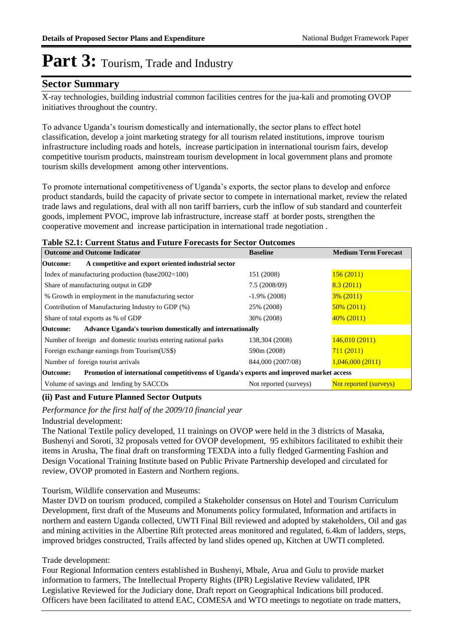#### **Sector Summary**

X-ray technologies, building industrial common facilities centres for the jua-kali and promoting OVOP initiatives throughout the country.

To advance Uganda's tourism domestically and internationally, the sector plans to effect hotel classification, develop a joint marketing strategy for all tourism related institutions, improve tourism infrastructure including roads and hotels, increase participation in international tourism fairs, develop competitive tourism products, mainstream tourism development in local government plans and promote tourism skills development among other interventions.

To promote international competitiveness of Uganda's exports, the sector plans to develop and enforce product standards, build the capacity of private sector to compete in international market, review the related trade laws and regulations, deal with all non tariff barriers, curb the inflow of sub standard and counterfeit goods, implement PVOC, improve lab infrastructure, increase staff at border posts, strengthen the cooperative movement and increase participation in international trade negotiation .

#### **Table S2.1: Current Status and Future Forecasts for Sector Outcomes**

| <b>Outcome and Outcome Indicator</b>                                                                 | <b>Baseline</b>        | <b>Medium Term Forecast</b> |
|------------------------------------------------------------------------------------------------------|------------------------|-----------------------------|
| A competitive and export oriented industrial sector<br>Outcome:                                      |                        |                             |
| Index of manufacturing production (base $2002=100$ )                                                 | 151 (2008)             | 156(2011)                   |
| Share of manufacturing output in GDP                                                                 | 7.5(2008/09)           | 8.3(2011)                   |
| % Growth in employment in the manufacturing sector                                                   | $-1.9\%$ (2008)        | $3\%$ (2011)                |
| Contribution of Manufacturing Industry to GDP (%)                                                    | 25% (2008)             | $50\% (2011)$               |
| Share of total exports as % of GDP                                                                   | 30% (2008)             | $40\%$ (2011)               |
| Advance Uganda's tourism domestically and internationally<br>Outcome:                                |                        |                             |
| Number of foreign and domestic tourists entering national parks                                      | 138,304 (2008)         | 146,010(2011)               |
| Foreign exchange earnings from Tourism (US\$)                                                        | 590m (2008)            | 711(2011)                   |
| Number of foreign tourist arrivals                                                                   | 844,000 (2007/08)      | 1,046,000(2011)             |
| Promotion of international competitivenss of Uganda's exports and improved market access<br>Outcome: |                        |                             |
| Volume of savings and lending by SACCOs                                                              | Not reported (surveys) | Not reported (surveys)      |

#### **(ii) Past and Future Planned Sector Outputs**

*Performance for the first half of the 2009/10 financial year*

Industrial development:

The National Textile policy developed, 11 trainings on OVOP were held in the 3 districts of Masaka, Bushenyi and Soroti, 32 proposals vetted for OVOP development, 95 exhibitors facilitated to exhibit their items in Arusha, The final draft on transforming TEXDA into a fully fledged Garmenting Fashion and Design Vocational Training Institute based on Public Private Partnership developed and circulated for review, OVOP promoted in Eastern and Northern regions.

Tourism, Wildlife conservation and Museums:

Master DVD on tourism produced, compiled a Stakeholder consensus on Hotel and Tourism Curriculum Development, first draft of the Museums and Monuments policy formulated, Information and artifacts in northern and eastern Uganda collected, UWTI Final Bill reviewed and adopted by stakeholders, Oil and gas and mining activities in the Albertine Rift protected areas monitored and regulated, 6.4km of ladders, steps, improved bridges constructed, Trails affected by land slides opened up, Kitchen at UWTI completed.

#### Trade development:

Four Regional Information centers established in Bushenyi, Mbale, Arua and Gulu to provide market information to farmers, The Intellectual Property Rights (IPR) Legislative Review validated, IPR Legislative Reviewed for the Judiciary done, Draft report on Geographical Indications bill produced. Officers have been facilitated to attend EAC, COMESA and WTO meetings to negotiate on trade matters,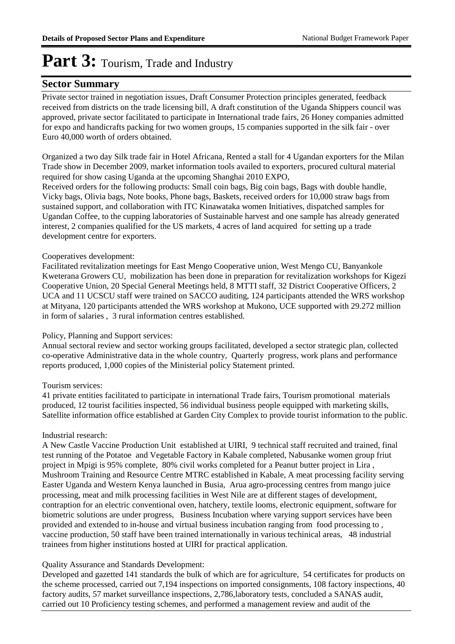#### **Sector Summary**

Private sector trained in negotiation issues, Draft Consumer Protection principles generated, feedback received from districts on the trade licensing bill, A draft constitution of the Uganda Shippers council was approved, private sector facilitated to participate in International trade fairs, 26 Honey companies admitted for expo and handicrafts packing for two women groups, 15 companies supported in the silk fair - over Euro 40,000 worth of orders obtained.

Organized a two day Silk trade fair in Hotel Africana, Rented a stall for 4 Ugandan exporters for the Milan Trade show in December 2009, market information tools availed to exporters, procured cultural material required for show casing Uganda at the upcoming Shanghai 2010 EXPO,

Received orders for the following products: Small coin bags, Big coin bags, Bags with double handle, Vicky bags, Olivia bags, Note books, Phone bags, Baskets, received orders for 10,000 straw bags from sustained support, and collaboration with ITC Kinawataka women Initiatives, dispatched samples for Ugandan Coffee, to the cupping laboratories of Sustainable harvest and one sample has already generated interest, 2 companies qualified for the US markets, 4 acres of land acquired for setting up a trade development centre for exporters.

#### Cooperatives development:

Facilitated revitalization meetings for East Mengo Cooperative union, West Mengo CU, Banyankole Kweterana Growers CU, mobilization has been done in preparation for revitalization workshops for Kigezi Cooperative Union, 20 Special General Meetings held, 8 MTTI staff, 32 District Cooperative Officers, 2 UCA and 11 UCSCU staff were trained on SACCO auditing, 124 participants attended the WRS workshop at Mityana, 120 participants attended the WRS workshop at Mukono, UCE supported with 29.272 million in form of salaries , 3 rural information centres established.

#### Policy, Planning and Support services:

Annual sectoral review and sector working groups facilitated, developed a sector strategic plan, collected co-operative Administrative data in the whole country, Quarterly progress, work plans and performance reports produced, 1,000 copies of the Ministerial policy Statement printed.

#### Tourism services:

41 private entities facilitated to participate in international Trade fairs, Tourism promotional materials produced, 12 tourist facilities inspected, 56 individual business people equipped with marketing skills, Satellite information office established at Garden City Complex to provide tourist information to the public.

#### Industrial research:

A New Castle Vaccine Production Unit established at UIRI, 9 technical staff recruited and trained, final test running of the Potatoe and Vegetable Factory in Kabale completed, Nabusanke women group friut project in Mpigi is 95% complete, 80% civil works completed for a Peanut butter project in Lira , Mushroom Training and Resource Centre MTRC established in Kabale, A meat processing facility serving Easter Uganda and Western Kenya launched in Busia, Arua agro-processing centres from mango juice processing, meat and milk processing facilities in West Nile are at different stages of development, contraption for an electric conventional oven, hatchery, textile looms, electronic equipment, software for biometric solutions are under progress, Business Incubation where varying support services have been provided and extended to in-house and virtual business incubation ranging from food processing to , vaccine production, 50 staff have been trained internationally in various techinical areas, 48 industrial trainees from higher institutions hosted at UIRI for practical application.

#### Quality Assurance and Standards Development:

Developed and gazetted 141 standards the bulk of which are for agriculture, 54 certificates for products on the scheme processed, carried out 7,194 inspections on imported consignments, 108 factory inspections, 40 factory audits, 57 market surveillance inspections, 2,786,laboratory tests, concluded a SANAS audit, carried out 10 Proficiency testing schemes, and performed a management review and audit of the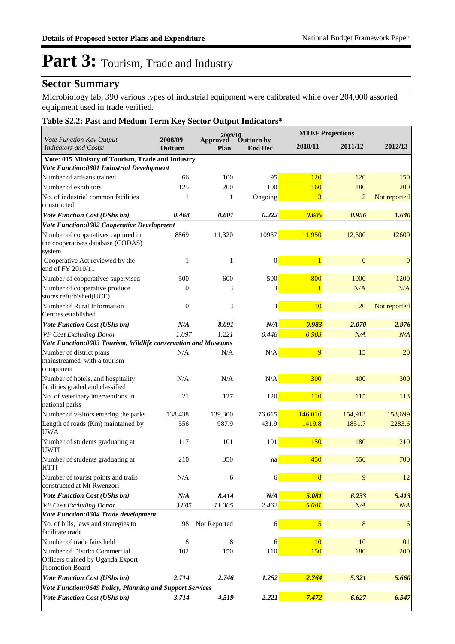### **Sector Summary**

Microbiology lab, 390 various types of industrial equipment were calibrated while over 204,000 assorted equipment used in trade verified.

#### **Table S2.2: Past and Medum Term Key Sector Output Indicators\***

|                                                                                       |                    | 2009/10                 |                                     |                | <b>MTEF Projections</b> |              |
|---------------------------------------------------------------------------------------|--------------------|-------------------------|-------------------------------------|----------------|-------------------------|--------------|
| Vote Function Key Output<br><b>Indicators and Costs:</b>                              | 2008/09<br>Outturn | <b>Approved</b><br>Plan | <b>Outturn by</b><br><b>End Dec</b> | 2010/11        | 2011/12                 | 2012/13      |
| Vote: 015 Ministry of Tourism, Trade and Industry                                     |                    |                         |                                     |                |                         |              |
| Vote Function:0601 Industrial Development                                             |                    |                         |                                     |                |                         |              |
| Number of artisans trained                                                            | 66                 | 100                     | 95                                  | 120            | 120                     | 150          |
| Number of exhibitors                                                                  | 125                | 200                     | 100                                 | 160            | 180                     | 200          |
| No. of industrial common facilities<br>constructed                                    | 1                  | 1                       | Ongoing                             | 3              | $\overline{2}$          | Not reported |
| <b>Vote Function Cost (UShs bn)</b>                                                   | 0.468              | 0.601                   | 0.222                               | 0.605          | 0.956                   | 1.640        |
| Vote Function:0602 Cooperative Development                                            |                    |                         |                                     |                |                         |              |
| Number of cooperatives captured in<br>the cooperatives database (CODAS)<br>system     | 8869               | 11,320                  | 10957                               | 11,950         | 12,500                  | 12600        |
| Cooperative Act reviewed by the<br>end of FY 2010/11                                  | 1                  | $\mathbf{1}$            | $\vert 0 \vert$                     | $\overline{1}$ | $\mathbf{0}$            | $\mathbf{0}$ |
| Number of cooperatives supervised                                                     | 500                | 600                     | 500                                 | 800            | 1000                    | 1200         |
| Number of cooperative produce<br>stores refurbished(UCE)                              | $\mathbf{0}$       | 3                       | 3                                   | 1              | N/A                     | N/A          |
| Number of Rural Information<br>Centres established                                    | $\overline{0}$     | 3                       | 3                                   | 10             | 20                      | Not reported |
| Vote Function Cost (UShs bn)                                                          | N/A                | 8.091                   | N/A                                 | 0.983          | 2.070                   | 2.976        |
| VF Cost Excluding Donor                                                               | 1.097              | 1.221                   | 0.448                               | 0.983          | N/A                     | N/A          |
| Vote Function:0603 Tourism, Wildlife conservation and Museums                         |                    |                         |                                     |                |                         |              |
| Number of district plans<br>mainstreamed with a tourism<br>component                  | N/A                | N/A                     | N/A                                 | 9              | 15                      | 20           |
| Number of hotels, and hospitality<br>facilities graded and classified                 | N/A                | N/A                     | N/A                                 | 300            | 400                     | 300          |
| No. of veterinary interventions in<br>national parks                                  | 21                 | 127                     | 120                                 | 110            | 115                     | 113          |
| Number of visitors entering the parks                                                 | 138,438            | 139,300                 | 76,615                              | 146,010        | 154,913                 | 158,699      |
| Length of roads (Km) maintained by<br><b>UWA</b>                                      | 556                | 987.9                   | 431.9                               | 1419.8         | 1851.7                  | 2283.6       |
| Number of students graduating at<br><b>UWTI</b>                                       | 117                | 101                     | 101                                 | 150            | 180                     | 210          |
| Number of students graduating at<br><b>HTTI</b>                                       | 210                | 350                     | na                                  | 450            | 550                     | 700          |
| Number of tourist points and trails<br>constructed at Mt Rwenzori                     | N/A                | 6                       | 6                                   | $\overline{8}$ | 9                       | 12           |
| <b>Vote Function Cost (UShs bn)</b>                                                   | N/A                | 8.414                   | $N\!/\!A$                           | 5.081          | 6.233                   | 5.413        |
| VF Cost Excluding Donor                                                               | 3.885              | 11.305                  | 2.462                               | 5.081          | N/A                     | N/A          |
| Vote Function:0604 Trade development                                                  |                    |                         |                                     |                |                         |              |
| No. of bills, laws and strategies to<br>facilitate trade                              | 98                 | Not Reported            | 6                                   | $\overline{5}$ | 8                       | 6            |
| Number of trade fairs held                                                            | 8                  | 8                       | 6                                   | 10             | 10                      | 01           |
| Number of District Commercial<br>Officers trained by Uganda Export<br>Promotion Board | 102                | 150                     | 110                                 | 150            | 180                     | 200          |
| Vote Function Cost (UShs bn)                                                          | 2.714              | 2.746                   | 1.252                               | 2.764          | 5.321                   | 5.660        |
| Vote Function:0649 Policy, Planning and Support Services                              |                    |                         |                                     |                |                         |              |
| Vote Function Cost (UShs bn)                                                          | 3.714              | 4.519                   | 2.221                               | 7.472          | 6.627                   | 6.547        |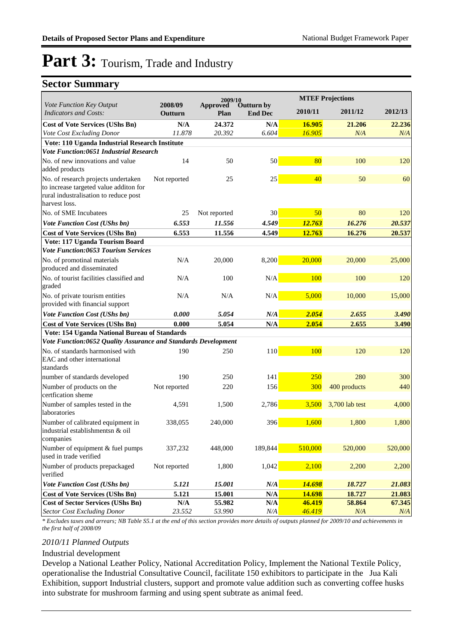### **Sector Summary**

|                                                                                                                        |                                   | 2009/10          |                              |                  | <b>MTEF Projections</b> |               |
|------------------------------------------------------------------------------------------------------------------------|-----------------------------------|------------------|------------------------------|------------------|-------------------------|---------------|
| Vote Function Key Output<br><b>Indicators and Costs:</b>                                                               | 2008/09<br>Outturn                | Approved<br>Plan | Outturn by<br><b>End Dec</b> | 2010/11          | 2011/12                 | 2012/13       |
| <b>Cost of Vote Services (UShs Bn)</b>                                                                                 | N/A                               | 24.372           | N/A                          | 16.905           | 21.206                  | 22.236        |
| Vote Cost Excluding Donor                                                                                              | 11.878                            | 20.392           | 6.604                        | 16.905           | N/A                     | N/A           |
| Vote: 110 Uganda Industrial Research Institute                                                                         |                                   |                  |                              |                  |                         |               |
| <b>Vote Function:0651 Industrial Research</b>                                                                          |                                   |                  |                              |                  |                         |               |
| No. of new innovations and value<br>added products                                                                     | 14                                | 50               | 50                           | 80               | 100                     | 120           |
| No. of research projects undertaken<br>to increase targeted value additon for<br>rural industralisation to reduce post | Not reported                      | 25               | 25                           | 40               | 50                      | 60            |
| harvest loss.                                                                                                          |                                   |                  |                              |                  |                         |               |
| No. of SME Incubatees                                                                                                  | 25                                | Not reported     | 30                           | 50               | 80                      | 120           |
| Vote Function Cost (UShs bn)                                                                                           | 6.553                             | 11.556           | 4.549                        | 12.763           | 16.276                  | 20.537        |
| <b>Cost of Vote Services (UShs Bn)</b>                                                                                 | 6.553                             | 11.556           | 4.549                        | 12.763           | 16.276                  | 20.537        |
| Vote: 117 Uganda Tourism Board<br>Vote Function:0653 Tourism Services                                                  |                                   |                  |                              |                  |                         |               |
| No. of promotinal materials<br>produced and disseminated                                                               | N/A                               | 20,000           | 8,200                        | 20,000           | 20,000                  | 25,000        |
| No. of tourist facilities classified and<br>graded                                                                     | N/A                               | 100              | N/A                          | 100              | 100                     | 120           |
| No. of private tourism entities<br>provided with financial support                                                     | N/A                               | N/A              | N/A                          | 5,000            | 10,000                  | 15,000        |
| Vote Function Cost (UShs bn)                                                                                           | 0.000                             | 5.054            | N/A                          | 2.054            | 2.655                   | 3.490         |
| <b>Cost of Vote Services (UShs Bn)</b>                                                                                 | 0.000                             | 5.054            | N/A                          | 2.054            | 2.655                   | 3.490         |
| Vote: 154 Uganda National Bureau of Standards                                                                          |                                   |                  |                              |                  |                         |               |
| Vote Function:0652 Quality Assurance and Standards Development                                                         |                                   |                  |                              |                  |                         |               |
| No. of standards harmonised with<br>EAC and other international<br>standards                                           | 190                               | 250              | 110                          | 100              | 120                     | 120           |
| number of standards developed                                                                                          | 190                               | 250              | 141                          | 250              | 280                     | 300           |
| Number of products on the<br>certfication sheme                                                                        | Not reported                      | 220              | 156                          | 300              | 400 products            | 440           |
| Number of samples tested in the<br>laboratories                                                                        | 4,591                             | 1,500            | 2,786                        | 3,500            | 3,700 lab test          | 4,000         |
| Number of calibrated equipment in<br>industrial establishmentsn & oil<br>companies                                     | 338,055                           | 240,000          | 396                          | 1,600            | 1,800                   | 1,800         |
| Number of equipment & fuel pumps<br>used in trade verified                                                             | 337,232                           | 448,000          | 189,844                      | 510,000          | 520,000                 | 520,000       |
| Number of products prepackaged<br>verified                                                                             | Not reported                      | 1,800            | 1,042                        | 2,100            | 2,200                   | 2,200         |
| <b>Vote Function Cost (UShs bn)</b>                                                                                    | 5.121                             | 15.001           | N/A                          | 14.698           | 18.727                  | 21.083        |
| <b>Cost of Vote Services (UShs Bn)</b>                                                                                 | 5.121                             | 15.001           | $\mathbf{N}/\mathbf{A}$      | 14.698           | 18.727                  | 21.083        |
| <b>Cost of Sector Services (UShs Bn)</b><br><b>Sector Cost Excluding Donor</b>                                         | $\mathbf{N}/\mathbf{A}$<br>23.552 | 55.982<br>53.990 | N/A<br>N/A                   | 46.419<br>46.419 | 58.864<br>N/A           | 67.345<br>N/A |

*\* Excludes taxes and arrears; NB Table S5.1 at the end of this section provides more details of outputs planned for 2009/10 and achievements in the first half of 2008/09*

#### *2010/11 Planned Outputs*

#### Industrial development

Develop a National Leather Policy, National Accreditation Policy, Implement the National Textile Policy, operationalise the Industrial Consultative Council, facilitate 150 exhibitors to participate in the Jua Kali Exhibition, support Industrial clusters, support and promote value addition such as converting coffee husks into substrate for mushroom farming and using spent subtrate as animal feed.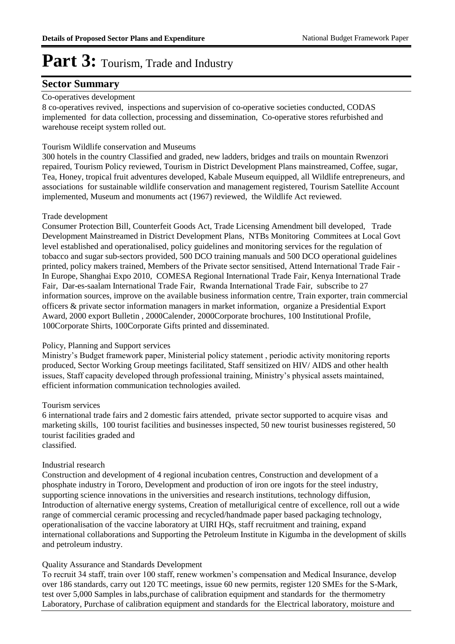#### **Sector Summary**

#### Co-operatives development

8 co-operatives revived, inspections and supervision of co-operative societies conducted, CODAS implemented for data collection, processing and dissemination, Co-operative stores refurbished and warehouse receipt system rolled out.

#### Tourism Wildlife conservation and Museums

300 hotels in the country Classified and graded, new ladders, bridges and trails on mountain Rwenzori repaired, Tourism Policy reviewed, Tourism in District Development Plans mainstreamed, Coffee, sugar, Tea, Honey, tropical fruit adventures developed, Kabale Museum equipped, all Wildlife entrepreneurs, and associations for sustainable wildlife conservation and management registered, Tourism Satellite Account implemented, Museum and monuments act (1967) reviewed, the Wildlife Act reviewed.

#### Trade development

Consumer Protection Bill, Counterfeit Goods Act, Trade Licensing Amendment bill developed, Trade Development Mainstreamed in District Development Plans, NTBs Monitoring Commitees at Local Govt level established and operationalised, policy guidelines and monitoring services for the regulation of tobacco and sugar sub-sectors provided, 500 DCO training manuals and 500 DCO operational guidelines printed, policy makers trained, Members of the Private sector sensitised, Attend International Trade Fair - In Europe, Shanghai Expo 2010, COMESA Regional International Trade Fair, Kenya International Trade Fair, Dar-es-saalam International Trade Fair, Rwanda International Trade Fair, subscribe to 27 information sources, improve on the available business information centre, Train exporter, train commercial officers & private sector information managers in market information, organize a Presidential Export Award, 2000 export Bulletin , 2000Calender, 2000Corporate brochures, 100 Institutional Profile, 100Corporate Shirts, 100Corporate Gifts printed and disseminated.

#### Policy, Planning and Support services

Ministry's Budget framework paper, Ministerial policy statement , periodic activity monitoring reports produced, Sector Working Group meetings facilitated, Staff sensitized on HIV/ AIDS and other health issues, Staff capacity developed through professional training, Ministry's physical assets maintained, efficient information communication technologies availed.

#### Tourism services

6 international trade fairs and 2 domestic fairs attended, private sector supported to acquire visas and marketing skills, 100 tourist facilities and businesses inspected, 50 new tourist businesses registered, 50 tourist facilities graded and classified.

#### Industrial research

Construction and development of 4 regional incubation centres, Construction and development of a phosphate industry in Tororo, Development and production of iron ore ingots for the steel industry, supporting science innovations in the universities and research institutions, technology diffusion, Introduction of alternative energy systems, Creation of metallurigical centre of excellence, roll out a wide range of commercial ceramic processing and recycled/handmade paper based packaging technology, operationalisation of the vaccine laboratory at UIRI HQs, staff recruitment and training, expand international collaborations and Supporting the Petroleum Institute in Kigumba in the development of skills and petroleum industry.

#### Quality Assurance and Standards Development

To recruit 34 staff, train over 100 staff, renew workmen's compensation and Medical Insurance, develop over 186 standards, carry out 120 TC meetings, issue 60 new permits, register 120 SMEs for the S-Mark, test over 5,000 Samples in labs,purchase of calibration equipment and standards for the thermometry Laboratory, Purchase of calibration equipment and standards for the Electrical laboratory, moisture and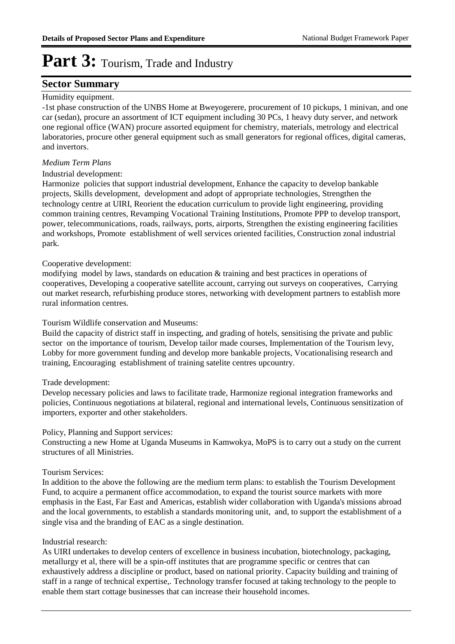#### **Sector Summary**

#### Humidity equipment.

-1st phase construction of the UNBS Home at Bweyogerere, procurement of 10 pickups, 1 minivan, and one car (sedan), procure an assortment of ICT equipment including 30 PCs, 1 heavy duty server, and network one regional office (WAN) procure assorted equipment for chemistry, materials, metrology and electrical laboratories, procure other general equipment such as small generators for regional offices, digital cameras, and invertors.

#### *Medium Term Plans*

#### Industrial development:

Harmonize policies that support industrial development, Enhance the capacity to develop bankable projects, Skills development, development and adopt of appropriate technologies, Strengthen the technology centre at UIRI, Reorient the education curriculum to provide light engineering, providing common training centres, Revamping Vocational Training Institutions, Promote PPP to develop transport, power, telecommunications, roads, railways, ports, airports, Strengthen the existing engineering facilities and workshops, Promote establishment of well services oriented facilities, Construction zonal industrial park.

#### Cooperative development:

modifying model by laws, standards on education & training and best practices in operations of cooperatives, Developing a cooperative satellite account, carrying out surveys on cooperatives, Carrying out market research, refurbishing produce stores, networking with development partners to establish more rural information centres.

#### Tourism Wildlife conservation and Museums:

Build the capacity of district staff in inspecting, and grading of hotels, sensitising the private and public sector on the importance of tourism, Develop tailor made courses, Implementation of the Tourism levy, Lobby for more government funding and develop more bankable projects, Vocationalising research and training, Encouraging establishment of training satelite centres upcountry.

#### Trade development:

Develop necessary policies and laws to facilitate trade, Harmonize regional integration frameworks and policies, Continuous negotiations at bilateral, regional and international levels, Continuous sensitization of importers, exporter and other stakeholders.

#### Policy, Planning and Support services:

Constructing a new Home at Uganda Museums in Kamwokya, MoPS is to carry out a study on the current structures of all Ministries.

#### Tourism Services:

In addition to the above the following are the medium term plans: to establish the Tourism Development Fund, to acquire a permanent office accommodation, to expand the tourist source markets with more emphasis in the East, Far East and Americas, establish wider collaboration with Uganda's missions abroad and the local governments, to establish a standards monitoring unit, and, to support the establishment of a single visa and the branding of EAC as a single destination.

#### Industrial research:

As UIRI undertakes to develop centers of excellence in business incubation, biotechnology, packaging, metallurgy et al, there will be a spin-off institutes that are programme specific or centres that can exhaustively address a discipline or product, based on national priority. Capacity building and training of staff in a range of technical expertise,. Technology transfer focused at taking technology to the people to enable them start cottage businesses that can increase their household incomes.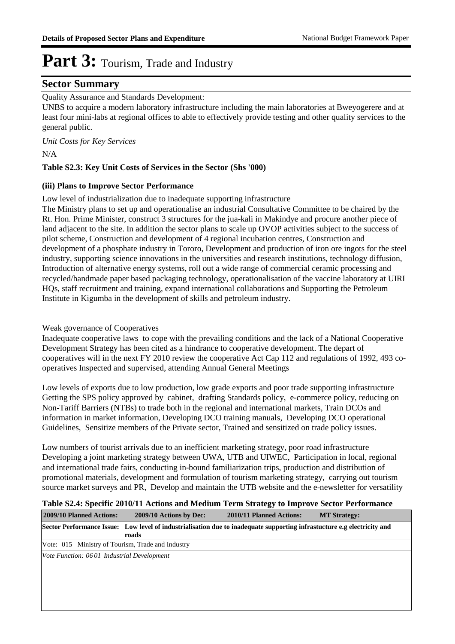#### **Sector Summary**

#### Quality Assurance and Standards Development:

UNBS to acquire a modern laboratory infrastructure including the main laboratories at Bweyogerere and at least four mini-labs at regional offices to able to effectively provide testing and other quality services to the general public.

*Unit Costs for Key Services*

N/A

#### **Table S2.3: Key Unit Costs of Services in the Sector (Shs '000)**

#### **(iii) Plans to Improve Sector Performance**

Low level of industrialization due to inadequate supporting infrastructure

The Ministry plans to set up and operationalise an industrial Consultative Committee to be chaired by the Rt. Hon. Prime Minister, construct 3 structures for the jua-kali in Makindye and procure another piece of land adjacent to the site. In addition the sector plans to scale up OVOP activities subject to the success of pilot scheme, Construction and development of 4 regional incubation centres, Construction and development of a phosphate industry in Tororo, Development and production of iron ore ingots for the steel industry, supporting science innovations in the universities and research institutions, technology diffusion, Introduction of alternative energy systems, roll out a wide range of commercial ceramic processing and recycled/handmade paper based packaging technology, operationalisation of the vaccine laboratory at UIRI HQs, staff recruitment and training, expand international collaborations and Supporting the Petroleum Institute in Kigumba in the development of skills and petroleum industry.

Weak governance of Cooperatives

Inadequate cooperative laws to cope with the prevailing conditions and the lack of a National Cooperative Development Strategy has been cited as a hindrance to cooperative development. The depart of cooperatives will in the next FY 2010 review the cooperative Act Cap 112 and regulations of 1992, 493 cooperatives Inspected and supervised, attending Annual General Meetings

Low levels of exports due to low production, low grade exports and poor trade supporting infrastructure Getting the SPS policy approved by cabinet, drafting Standards policy, e-commerce policy, reducing on Non-Tariff Barriers (NTBs) to trade both in the regional and international markets, Train DCOs and information in market information, Developing DCO training manuals, Developing DCO operational Guidelines, Sensitize members of the Private sector, Trained and sensitized on trade policy issues.

Low numbers of tourist arrivals due to an inefficient marketing strategy, poor road infrastructure Developing a joint marketing strategy between UWA, UTB and UIWEC, Participation in local, regional and international trade fairs, conducting in-bound familiarization trips, production and distribution of promotional materials, development and formulation of tourism marketing strategy, carrying out tourism source market surveys and PR, Develop and maintain the UTB website and the e-newsletter for versatility

#### **Table S2.4: Specific 2010/11 Actions and Medium Term Strategy to Improve Sector Performance**

| 2009/10 Planned Actions:                          | 2009/10 Actions by Dec:                                                                                                          | 2010/11 Planned Actions: | <b>MT Strategy:</b> |
|---------------------------------------------------|----------------------------------------------------------------------------------------------------------------------------------|--------------------------|---------------------|
|                                                   | Sector Performance Issue: Low level of industrialisation due to inadequate supporting infrastucture e.g electricity and<br>roads |                          |                     |
| Vote: 015 Ministry of Tourism, Trade and Industry |                                                                                                                                  |                          |                     |
| Vote Function: 0601 Industrial Development        |                                                                                                                                  |                          |                     |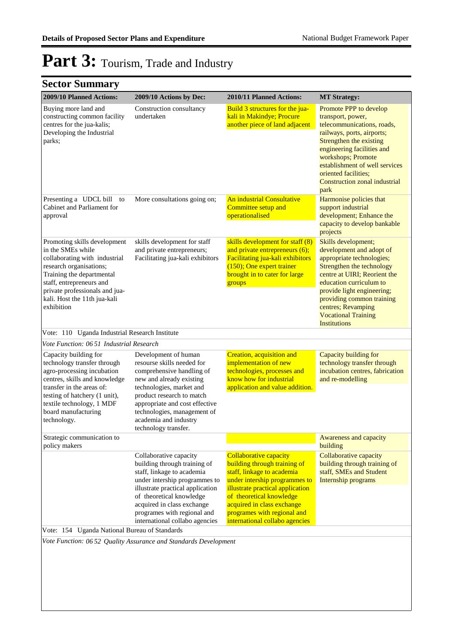| 2009/10 Planned Actions:                                                                                                                                                                                                                               | 2009/10 Actions by Dec:                                                                                                                                                                                                                                        | 2010/11 Planned Actions:                                                                                                                                                          | <b>MT Strategy:</b>                                                                                                                                                                                                                                                                                        |
|--------------------------------------------------------------------------------------------------------------------------------------------------------------------------------------------------------------------------------------------------------|----------------------------------------------------------------------------------------------------------------------------------------------------------------------------------------------------------------------------------------------------------------|-----------------------------------------------------------------------------------------------------------------------------------------------------------------------------------|------------------------------------------------------------------------------------------------------------------------------------------------------------------------------------------------------------------------------------------------------------------------------------------------------------|
| Buying more land and<br>constructing common facility<br>centres for the jua-kalis;<br>Developing the Industrial<br>parks;                                                                                                                              | Construction consultancy<br>undertaken                                                                                                                                                                                                                         | Build 3 structures for the jua-<br>kali in Makindye; Procure<br>another piece of land adjacent                                                                                    | Promote PPP to develop<br>transport, power,<br>telecommunications, roads,<br>railways, ports, airports;<br>Strengthen the existing<br>engineering facilities and<br>workshops; Promote<br>establishment of well services<br>oriented facilities;<br>Construction zonal industrial<br>park                  |
| Presenting a UDCL bill<br>to<br>Cabinet and Parliament for<br>approval                                                                                                                                                                                 | More consultations going on;                                                                                                                                                                                                                                   | An industrial Consultative<br>Committee setup and<br>operationalised                                                                                                              | Harmonise policies that<br>support industrial<br>development; Enhance the<br>capacity to develop bankable<br>projects                                                                                                                                                                                      |
| Promoting skills development<br>in the SMEs while<br>collaborating with industrial<br>research organisations;<br>Training the departmental<br>staff, entrepreneurs and<br>private professionals and jua-<br>kali. Host the 11th jua-kali<br>exhibition | skills development for staff<br>and private entrepreneurs;<br>Facilitating jua-kali exhibitors                                                                                                                                                                 | skills development for staff (8)<br>and private entrepreneurs $(6)$ ;<br>Facilitating jua-kali exhibitors<br>(150); One expert trainer<br>brought in to cater for large<br>groups | Skills development;<br>development and adopt of<br>appropriate technologies;<br>Strengthen the technology<br>centre at UIRI; Reorient the<br>education curriculum to<br>provide light engineering;<br>providing common training<br>centres; Revamping<br><b>Vocational Training</b><br><b>Institutions</b> |
| Vote: 110 Uganda Industrial Research Institute<br>Vote Function: 06.51 Industrial Research                                                                                                                                                             |                                                                                                                                                                                                                                                                |                                                                                                                                                                                   |                                                                                                                                                                                                                                                                                                            |
| Capacity building for                                                                                                                                                                                                                                  | Development of human                                                                                                                                                                                                                                           | Creation, acquisition and                                                                                                                                                         | Capacity building for                                                                                                                                                                                                                                                                                      |
| technology transfer through<br>agro-processing incubation<br>centres, skills and knowledge<br>transfer in the areas of:<br>testing of hatchery (1 unit),<br>textile technology, 1 MDF<br>board manufacturing<br>technology.                            | resourse skills needed for<br>comprehensive handling of<br>new and already existing<br>technologies, market and<br>product research to match<br>appropriate and cost effective<br>technologies, management of<br>academia and industry<br>technology transfer. | implementation of new<br>technologies, processes and<br>know how for industrial<br>application and value addition.                                                                | technology transfer through<br>incubation centres, fabrication<br>and re-modelling                                                                                                                                                                                                                         |
| Strategic communication to<br>policy makers                                                                                                                                                                                                            |                                                                                                                                                                                                                                                                |                                                                                                                                                                                   | Awareness and capacity<br>building                                                                                                                                                                                                                                                                         |
|                                                                                                                                                                                                                                                        | Collaborative capacity<br>building through training of<br>staff, linkage to academia<br>under intership programmes to<br>illustrate practical application                                                                                                      | <b>Collaborative capacity</b><br>building through training of<br>staff, linkage to academia<br>under intership programmes to<br>illustrate practical application                  | Collaborative capacity<br>building through training of<br>staff, SMEs and Student<br>Internship programs                                                                                                                                                                                                   |
|                                                                                                                                                                                                                                                        | of theoretical knowledge<br>acquired in class exchange<br>programes with regional and<br>international collabo agencies                                                                                                                                        | of theoretical knowledge<br>acquired in class exchange<br>programes with regional and<br>international collabo agencies                                                           |                                                                                                                                                                                                                                                                                                            |
| Vote: 154 Uganda National Bureau of Standards                                                                                                                                                                                                          |                                                                                                                                                                                                                                                                |                                                                                                                                                                                   |                                                                                                                                                                                                                                                                                                            |
|                                                                                                                                                                                                                                                        | Vote Function: 06 52 Quality Assurance and Standards Development                                                                                                                                                                                               |                                                                                                                                                                                   |                                                                                                                                                                                                                                                                                                            |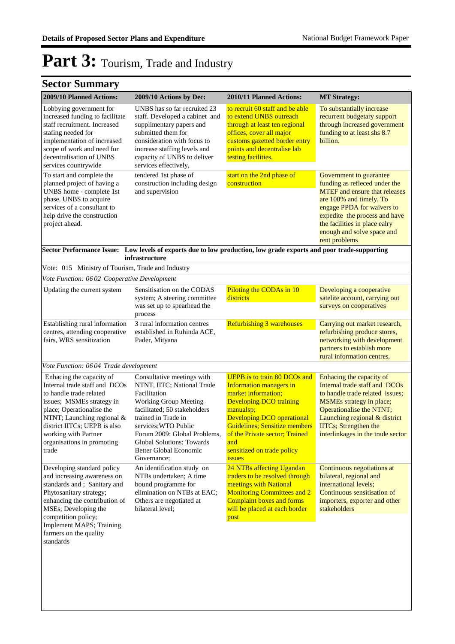| 2009/10 Planned Actions:                                                                                                                                                                                                                                                    | 2009/10 Actions by Dec:                                                                                                                                                                                                                                                                       | 2010/11 Planned Actions:                                                                                                                                                                                                                                                                                  | <b>MT Strategy:</b>                                                                                                                                                                                                                                                        |
|-----------------------------------------------------------------------------------------------------------------------------------------------------------------------------------------------------------------------------------------------------------------------------|-----------------------------------------------------------------------------------------------------------------------------------------------------------------------------------------------------------------------------------------------------------------------------------------------|-----------------------------------------------------------------------------------------------------------------------------------------------------------------------------------------------------------------------------------------------------------------------------------------------------------|----------------------------------------------------------------------------------------------------------------------------------------------------------------------------------------------------------------------------------------------------------------------------|
| Lobbying government for<br>increased funding to facilitate<br>staff recruitment. Increased<br>stafing needed for<br>implementation of increased<br>scope of work and need for<br>decentralisation of UNBS<br>services countrywide                                           | UNBS has so far recruited 23<br>staff. Developed a cabinet and<br>supplimentary papers and<br>submitted them for<br>consideration with focus to<br>increase staffing levels and<br>capacity of UNBS to deliver<br>services effectively,                                                       | to recruit 60 staff and be able<br>to extend UNBS outreach<br>through at least ten regional<br>offices, cover all major<br>customs gazetted border entry<br>points and decentralise lab<br>testing facilities.                                                                                            | To substantially increase<br>recurrent budgetary support<br>through increased government<br>funding to at least shs 8.7<br>billion.                                                                                                                                        |
| To start and complete the<br>planned project of having a<br>UNBS home - complete 1st<br>phase. UNBS to acquire<br>services of a consultant to<br>help drive the construction<br>project ahead.                                                                              | tendered 1st phase of<br>construction including design<br>and supervision                                                                                                                                                                                                                     | start on the 2nd phase of<br>construction                                                                                                                                                                                                                                                                 | Government to guarantee<br>funding as refleced under the<br><b>MTEF</b> and ensure that releases<br>are 100% and timely. To<br>engage PPDA for waivers to<br>expedite the process and have<br>the facilities in place ealry<br>enough and solve space and<br>rent problems |
|                                                                                                                                                                                                                                                                             | infrastructure                                                                                                                                                                                                                                                                                | Sector Performance Issue: Low levels of exports due to low production, low grade exports and poor trade-supporting                                                                                                                                                                                        |                                                                                                                                                                                                                                                                            |
| Vote: 015 Ministry of Tourism, Trade and Industry                                                                                                                                                                                                                           |                                                                                                                                                                                                                                                                                               |                                                                                                                                                                                                                                                                                                           |                                                                                                                                                                                                                                                                            |
| Vote Function: 0602 Cooperative Development                                                                                                                                                                                                                                 |                                                                                                                                                                                                                                                                                               |                                                                                                                                                                                                                                                                                                           |                                                                                                                                                                                                                                                                            |
| Updating the current system                                                                                                                                                                                                                                                 | Sensitisation on the CODAS<br>system; A steering committee<br>was set up to spearhead the<br>process                                                                                                                                                                                          | Piloting the CODAs in 10<br>districts                                                                                                                                                                                                                                                                     | Developing a cooperative<br>satelite account, carrying out<br>surveys on cooperatives                                                                                                                                                                                      |
| Establishing rural information<br>centres, attending cooperative<br>fairs, WRS sensitization                                                                                                                                                                                | 3 rural information centres<br>established in Ruhinda ACE,<br>Pader, Mityana                                                                                                                                                                                                                  | Refurbishing 3 warehouses                                                                                                                                                                                                                                                                                 | Carrying out market research,<br>refurbishing produce stores,<br>networking with development<br>partners to establish more<br>rural information centres,                                                                                                                   |
| Vote Function: 06 04 Trade development                                                                                                                                                                                                                                      |                                                                                                                                                                                                                                                                                               |                                                                                                                                                                                                                                                                                                           |                                                                                                                                                                                                                                                                            |
| Enhacing the capacity of<br>Internal trade staff and DCOs<br>to handle trade related<br>issues; MSMEs strategy in<br>place; Operationalise the<br>NTNT; Launching regional &<br>district IITCs; UEPB is also<br>working with Partner<br>organisations in promoting<br>trade | Consultative meetings with<br>NTNT, IITC; National Trade<br>Facilitation<br><b>Working Group Meeting</b><br>facilitated; 50 stakeholders<br>trained in Trade in<br>services; WTO Public<br>Forum 2009: Global Problems,<br>Global Solutions: Towards<br>Better Global Economic<br>Governance; | <b>UEPB</b> is to train 80 DCOs and<br><b>Information managers in</b><br>market information;<br><b>Developing DCO training</b><br>manualsp;<br><b>Developing DCO operational</b><br><b>Guidelines: Sensitize members</b><br>of the Private sector; Trained<br>and<br>sensitized on trade policy<br>issues | Enhacing the capacity of<br>Internal trade staff and DCOs<br>to handle trade related issues:<br>MSMEs strategy in place;<br>Operationalise the NTNT;<br>Launching regional & district<br><b>IITCs</b> ; Strengthen the<br>interlinkages in the trade sector                |
| Developing standard policy<br>and increasing awareness on<br>standards and; Sanitary and<br>Phytosanitary strategy;<br>enhancing the contribution of<br>MSEs; Developing the<br>competition policy;                                                                         | An identification study on<br>NTBs undertaken; A time<br>bound programme for<br>elimination on NTBs at EAC;<br>Others are negotiated at<br>bilateral level;                                                                                                                                   | 24 NTBs affecting Ugandan<br>traders to be resolved through<br>meetings with National<br><b>Monitoring Committees and 2</b><br><b>Complaint boxes and forms</b><br>will be placed at each border<br>post                                                                                                  | Continuous negotiations at<br>bilateral, regional and<br>international levels;<br>Continuous sensitisation of<br>importers, exporter and other<br>stakeholders                                                                                                             |
| <b>Implement MAPS</b> ; Training<br>farmers on the quality<br>standards                                                                                                                                                                                                     |                                                                                                                                                                                                                                                                                               |                                                                                                                                                                                                                                                                                                           |                                                                                                                                                                                                                                                                            |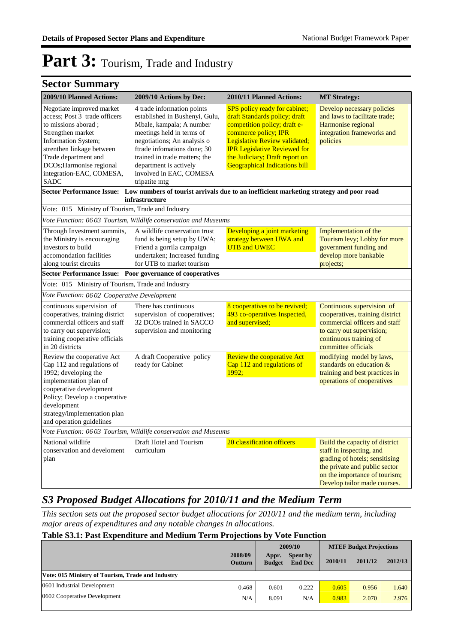### **Sector Summary**

| 2009/10 Planned Actions:                                                                                                                                                                                                                                   | 2009/10 Actions by Dec:                                                                                                                                                                                                                                                                    | 2010/11 Planned Actions:                                                                                                                                                                                                                                                        | <b>MT Strategy:</b>                                                                                                                                                                            |
|------------------------------------------------------------------------------------------------------------------------------------------------------------------------------------------------------------------------------------------------------------|--------------------------------------------------------------------------------------------------------------------------------------------------------------------------------------------------------------------------------------------------------------------------------------------|---------------------------------------------------------------------------------------------------------------------------------------------------------------------------------------------------------------------------------------------------------------------------------|------------------------------------------------------------------------------------------------------------------------------------------------------------------------------------------------|
| Negotiate improved market<br>access; Post 3 trade officers<br>to missions aborad ;<br>Strengthen market<br>Information System;<br>strenthen linkage between<br>Trade department and<br>DCOs; Harmonise regional<br>integration-EAC, COMESA,<br><b>SADC</b> | 4 trade information points<br>established in Bushenyi, Gulu,<br>Mbale, kampala; A number<br>meetings held in terms of<br>negotiations; An analysis o<br>ftrade infomations done; 30<br>trained in trade matters: the<br>department is actively<br>involved in EAC, COMESA<br>tripatite mtg | <b>SPS</b> policy ready for cabinet;<br>draft Standards policy; draft<br>competition policy; draft e-<br>commerce policy; IPR<br>Legislative Review validated;<br><b>IPR Legislative Reviewed for</b><br>the Judiciary; Draft report on<br><b>Geographical Indications bill</b> | Develop necessary policies<br>and laws to facilitate trade;<br>Harmonise regional<br>integration frameworks and<br>policies                                                                    |
|                                                                                                                                                                                                                                                            | Sector Performance Issue: Low numbers of tourist arrivals due to an inefficient marketing strategy and poor road<br>infrastructure                                                                                                                                                         |                                                                                                                                                                                                                                                                                 |                                                                                                                                                                                                |
| Vote: 015 Ministry of Tourism, Trade and Industry                                                                                                                                                                                                          |                                                                                                                                                                                                                                                                                            |                                                                                                                                                                                                                                                                                 |                                                                                                                                                                                                |
|                                                                                                                                                                                                                                                            | Vote Function: 06 03 Tourism, Wildlife conservation and Museums                                                                                                                                                                                                                            |                                                                                                                                                                                                                                                                                 |                                                                                                                                                                                                |
| Through Investment summits,<br>the Ministry is encouraging<br>investors to build<br>accomondation facilities<br>along tourist circuits                                                                                                                     | A wildlife conservation trust<br>fund is being setup by UWA;<br>Friend a gorrila campaign<br>undertaken; Increased funding<br>for UTB to market tourism                                                                                                                                    | Developing a joint marketing<br>strategy between UWA and<br><b>UTB</b> and <b>UWEC</b>                                                                                                                                                                                          | Implementation of the<br>Tourism levy; Lobby for more<br>government funding and<br>develop more bankable<br>projects;                                                                          |
| Sector Performance Issue: Poor governance of cooperatives                                                                                                                                                                                                  |                                                                                                                                                                                                                                                                                            |                                                                                                                                                                                                                                                                                 |                                                                                                                                                                                                |
| Vote: 015 Ministry of Tourism, Trade and Industry                                                                                                                                                                                                          |                                                                                                                                                                                                                                                                                            |                                                                                                                                                                                                                                                                                 |                                                                                                                                                                                                |
| Vote Function: 0602 Cooperative Development                                                                                                                                                                                                                |                                                                                                                                                                                                                                                                                            |                                                                                                                                                                                                                                                                                 |                                                                                                                                                                                                |
| continuous supervision of<br>cooperatives, training district<br>commercial officers and staff<br>to carry out supervision;<br>training cooperative officials<br>in 20 districts                                                                            | There has continuous<br>supervision of cooperatives;<br>32 DCOs trained in SACCO<br>supervision and monitoring                                                                                                                                                                             | 8 cooperatives to be revived;<br>493 co-operatives Inspected,<br>and supervised;                                                                                                                                                                                                | Continuous supervision of<br>cooperatives, training district<br>commercial officers and staff<br>to carry out supervision;<br>continuous training of<br>committee officials                    |
| Review the cooperative Act<br>Cap 112 and regulations of<br>1992; developing the<br>implementation plan of<br>cooperative development<br>Policy; Develop a cooperative<br>development<br>strategy/implementation plan<br>and operation guidelines          | A draft Cooperative policy<br>ready for Cabinet                                                                                                                                                                                                                                            | <b>Review the cooperative Act</b><br>Cap 112 and regulations of<br>1992;                                                                                                                                                                                                        | modifying model by laws,<br>standards on education &<br>training and best practices in<br>operations of cooperatives                                                                           |
|                                                                                                                                                                                                                                                            | Vote Function: 0603 Tourism, Wildlife conservation and Museums                                                                                                                                                                                                                             |                                                                                                                                                                                                                                                                                 |                                                                                                                                                                                                |
| National wildlife<br>conservation and develoment<br>plan                                                                                                                                                                                                   | Draft Hotel and Tourism<br>curriculum                                                                                                                                                                                                                                                      | 20 classification officers                                                                                                                                                                                                                                                      | Build the capacity of district<br>staff in inspecting, and<br>grading of hotels; sensitising<br>the private and public sector<br>on the importance of tourism;<br>Develop tailor made courses. |

### *S3 Proposed Budget Allocations for 2010/11 and the Medium Term*

*This section sets out the proposed sector budget allocations for 2010/11 and the medium term, including major areas of expenditures and any notable changes in allocations.* 

#### **Table S3.1: Past Expenditure and Medium Term Projections by Vote Function**

|                                                   |                           |                        | 2009/10                    |         | <b>MTEF Budget Projections</b> |         |
|---------------------------------------------------|---------------------------|------------------------|----------------------------|---------|--------------------------------|---------|
|                                                   | 2008/09<br><b>Outturn</b> | Appr.<br><b>Budget</b> | Spent by<br><b>End Dec</b> | 2010/11 | 2011/12                        | 2012/13 |
| Vote: 015 Ministry of Tourism, Trade and Industry |                           |                        |                            |         |                                |         |
| 0601 Industrial Development                       | 0.468                     | 0.601                  | 0.222                      | 0.605   | 0.956                          | 1.640   |
| 0602 Cooperative Development                      | N/A                       | 8.091                  | N/A                        | 0.983   | 2.070                          | 2.976   |
|                                                   |                           |                        |                            |         |                                |         |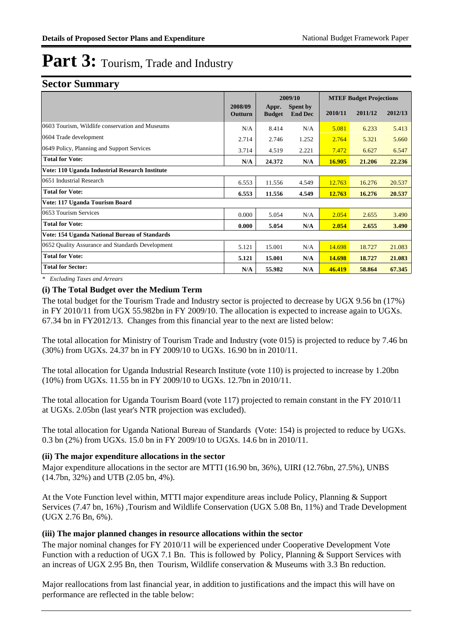#### **Sector Summary**

|                                                  |                    |                        | 2009/10                           |         | <b>MTEF Budget Projections</b> |         |
|--------------------------------------------------|--------------------|------------------------|-----------------------------------|---------|--------------------------------|---------|
|                                                  | 2008/09<br>Outturn | Appr.<br><b>Budget</b> | <b>Spent by</b><br><b>End Dec</b> | 2010/11 | 2011/12                        | 2012/13 |
| 0603 Tourism, Wildlife conservation and Museums  | N/A                | 8.414                  | N/A                               | 5.081   | 6.233                          | 5.413   |
| 0604 Trade development                           | 2.714              | 2.746                  | 1.252                             | 2.764   | 5.321                          | 5.660   |
| 0649 Policy, Planning and Support Services       | 3.714              | 4.519                  | 2.221                             | 7.472   | 6.627                          | 6.547   |
| <b>Total for Vote:</b>                           | N/A                | 24.372                 | N/A                               | 16.905  | 21.206                         | 22.236  |
| Vote: 110 Uganda Industrial Research Institute   |                    |                        |                                   |         |                                |         |
| 0651 Industrial Research                         | 6.553              | 11.556                 | 4.549                             | 12.763  | 16.276                         | 20.537  |
| <b>Total for Vote:</b>                           | 6.553              | 11.556                 | 4.549                             | 12.763  | 16.276                         | 20.537  |
| Vote: 117 Uganda Tourism Board                   |                    |                        |                                   |         |                                |         |
| 0653 Tourism Services                            | 0.000              | 5.054                  | N/A                               | 2.054   | 2.655                          | 3.490   |
| <b>Total for Vote:</b>                           | 0.000              | 5.054                  | N/A                               | 2.054   | 2.655                          | 3.490   |
| Vote: 154 Uganda National Bureau of Standards    |                    |                        |                                   |         |                                |         |
| 0652 Quality Assurance and Standards Development | 5.121              | 15.001                 | N/A                               | 14.698  | 18.727                         | 21.083  |
| <b>Total for Vote:</b>                           | 5.121              | 15.001                 | N/A                               | 14.698  | 18.727                         | 21.083  |
| <b>Total for Sector:</b>                         | N/A                | 55.982                 | N/A                               | 46.419  | 58.864                         | 67.345  |

*\* Excluding Taxes and Arrears*

#### **(i) The Total Budget over the Medium Term**

The total budget for the Tourism Trade and Industry sector is projected to decrease by UGX 9.56 bn (17%) in FY 2010/11 from UGX 55.982bn in FY 2009/10. The allocation is expected to increase again to UGXs. 67.34 bn in FY2012/13. Changes from this financial year to the next are listed below:

The total allocation for Ministry of Tourism Trade and Industry (vote 015) is projected to reduce by 7.46 bn (30%) from UGXs. 24.37 bn in FY 2009/10 to UGXs. 16.90 bn in 2010/11.

The total allocation for Uganda Industrial Research Institute (vote 110) is projected to increase by 1.20bn (10%) from UGXs. 11.55 bn in FY 2009/10 to UGXs. 12.7bn in 2010/11.

The total allocation for Uganda Tourism Board (vote 117) projected to remain constant in the FY 2010/11 at UGXs. 2.05bn (last year's NTR projection was excluded).

The total allocation for Uganda National Bureau of Standards (Vote: 154) is projected to reduce by UGXs. 0.3 bn (2%) from UGXs. 15.0 bn in FY 2009/10 to UGXs. 14.6 bn in 2010/11.

#### **(ii) The major expenditure allocations in the sector**

Major expenditure allocations in the sector are MTTI (16.90 bn, 36%), UIRI (12.76bn, 27.5%), UNBS (14.7bn, 32%) and UTB (2.05 bn, 4%).

At the Vote Function level within, MTTI major expenditure areas include Policy, Planning & Support Services (7.47 bn, 16%) ,Tourism and Wildlife Conservation (UGX 5.08 Bn, 11%) and Trade Development (UGX 2.76 Bn, 6%).

#### **(iii) The major planned changes in resource allocations within the sector**

The major nominal changes for FY 2010/11 will be experienced under Cooperative Development Vote Function with a reduction of UGX 7.1 Bn. This is followed by Policy, Planning & Support Services with an increas of UGX 2.95 Bn, then Tourism, Wildlife conservation & Museums with 3.3 Bn reduction.

Major reallocations from last financial year, in addition to justifications and the impact this will have on performance are reflected in the table below: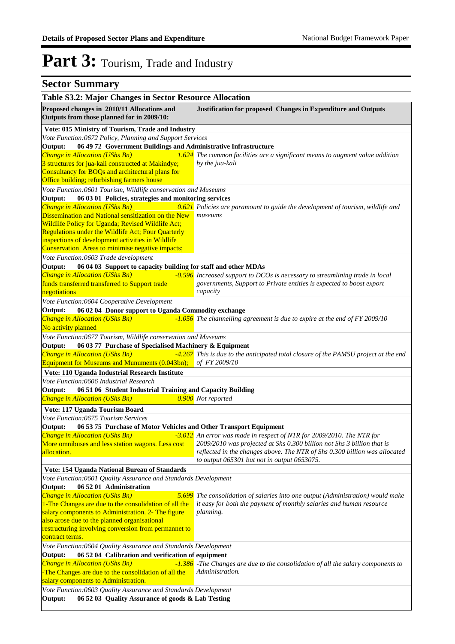| Table S3.2: Major Changes in Sector Resource Allocation                                                |                                                                                                                                                  |
|--------------------------------------------------------------------------------------------------------|--------------------------------------------------------------------------------------------------------------------------------------------------|
| Proposed changes in 2010/11 Allocations and<br>Outputs from those planned for in 2009/10:              | Justification for proposed Changes in Expenditure and Outputs                                                                                    |
| Vote: 015 Ministry of Tourism, Trade and Industry                                                      |                                                                                                                                                  |
| Vote Function:0672 Policy, Planning and Support Services                                               |                                                                                                                                                  |
| 06 49 72 Government Buildings and Administrative Infrastructure<br>Output:                             |                                                                                                                                                  |
| Change in Allocation (UShs Bn)                                                                         | 1.624 The common facilities are a significant means to augment value addition                                                                    |
| 3 structures for jua-kali constructed at Makindye;<br>Consultancy for BOQs and architectural plans for | by the jua-kali                                                                                                                                  |
| Office building; refurbishing farmers house                                                            |                                                                                                                                                  |
| Vote Function:0601 Tourism, Wildlife conservation and Museums                                          |                                                                                                                                                  |
| 06 03 01 Policies, strategies and monitoring services<br>Output:                                       |                                                                                                                                                  |
| Change in Allocation (UShs Bn)                                                                         | 0.621 Policies are paramount to guide the development of tourism, wildlife and                                                                   |
| Dissemination and National sensitization on the New                                                    | museums                                                                                                                                          |
| Wildlife Policy for Uganda; Revised Wildlife Act;                                                      |                                                                                                                                                  |
| Regulations under the Wildlife Act; Four Quarterly                                                     |                                                                                                                                                  |
| inspections of development activities in Wildlife                                                      |                                                                                                                                                  |
| Conservation Areas to minimise negative impacts;                                                       |                                                                                                                                                  |
| Vote Function:0603 Trade development                                                                   |                                                                                                                                                  |
| 06 04 03 Support to capacity building for staff and other MDAs<br>Output:                              |                                                                                                                                                  |
| Change in Allocation (UShs Bn)                                                                         | -0.596 Increased support to DCOs is necessary to streamlining trade in local                                                                     |
| funds transferred transferred to Support trade                                                         | governments, Support to Private entities is expected to boost export                                                                             |
| negotiations                                                                                           | capacity                                                                                                                                         |
| Vote Function:0604 Cooperative Development                                                             |                                                                                                                                                  |
| 06 02 04 Donor support to Uganda Commodity exchange<br>Output:                                         |                                                                                                                                                  |
| Change in Allocation (UShs Bn)                                                                         | $-1.056$ The channelling agreement is due to expire at the end of FY 2009/10                                                                     |
| No activity planned                                                                                    |                                                                                                                                                  |
| Vote Function:0677 Tourism, Wildlife conservation and Museums                                          |                                                                                                                                                  |
| 06 03 77 Purchase of Specialised Machinery & Equipment<br>Output:                                      |                                                                                                                                                  |
| Change in Allocation (UShs Bn)                                                                         | -4.267 This is due to the anticipated total closure of the PAMSU project at the end                                                              |
| Equipment for Museums and Munuments (0.043bn); of FY 2009/10                                           |                                                                                                                                                  |
| Vote: 110 Uganda Industrial Research Institute                                                         |                                                                                                                                                  |
| Vote Function:0606 Industrial Research                                                                 |                                                                                                                                                  |
| Output:<br>06 51 06 Student Industrial Training and Capacity Building                                  |                                                                                                                                                  |
| Change in Allocation (UShs Bn)                                                                         | 0.900 Not reported                                                                                                                               |
| Vote: 117 Uganda Tourism Board                                                                         |                                                                                                                                                  |
| Vote Function:0675 Tourism Services                                                                    |                                                                                                                                                  |
| Output:<br>06 53 75 Purchase of Motor Vehicles and Other Transport Equipment                           |                                                                                                                                                  |
| Change in Allocation (UShs Bn)                                                                         | -3.012 An error was made in respect of NTR for 2009/2010. The NTR for                                                                            |
| More omnibuses and less station wagons. Less cost                                                      | 2009/2010 was projected at Shs 0.300 billion not Shs 3 billion that is                                                                           |
| allocation.                                                                                            | reflected in the changes above. The NTR of Shs 0.300 billion was allocated                                                                       |
|                                                                                                        | to output 065301 but not in output 0653075.                                                                                                      |
| Vote: 154 Uganda National Bureau of Standards                                                          |                                                                                                                                                  |
| Vote Function: 0601 Quality Assurance and Standards Development                                        |                                                                                                                                                  |
| 06 52 01 Administration<br>Output:<br>Change in Allocation (UShs Bn)<br>5.699                          |                                                                                                                                                  |
| 1-The Changes are due to the consolidation of all the                                                  | The consolidation of salaries into one output (Administration) would make<br>it easy for both the payment of monthly salaries and human resource |
| salary components to Administration. 2- The figure                                                     | planning.                                                                                                                                        |
| also arose due to the planned organisational                                                           |                                                                                                                                                  |
| restructuring involving conversion from permannet to                                                   |                                                                                                                                                  |
| contract terms.                                                                                        |                                                                                                                                                  |
| Vote Function:0604 Quality Assurance and Standards Development                                         |                                                                                                                                                  |
| 06 52 04 Calibration and verification of equipment<br>Output:                                          |                                                                                                                                                  |
| Change in Allocation (UShs Bn)                                                                         | -1.386 -The Changes are due to the consolidation of all the salary components to                                                                 |
| -The Changes are due to the consolidation of all the                                                   | Administration.                                                                                                                                  |
| salary components to Administration.                                                                   |                                                                                                                                                  |
| Vote Function:0603 Quality Assurance and Standards Development                                         |                                                                                                                                                  |
| 06 52 03 Quality Assurance of goods & Lab Testing<br>Output:                                           |                                                                                                                                                  |
|                                                                                                        |                                                                                                                                                  |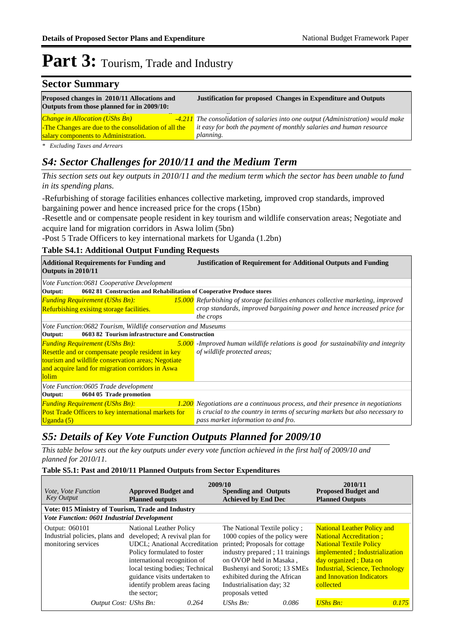### **Sector Summary Proposed changes in 2010/11 Allocations and Justification for proposed Changes in Expenditure and Outputs Outputs from those planned for in 2009/10:**

| <b>Change in Allocation (UShs Bn)</b>                | -4.211 The consolidation of salaries into one output (Administration) would make   |
|------------------------------------------------------|------------------------------------------------------------------------------------|
| -The Changes are due to the consolidation of all the | $\blacksquare$ it easy for both the payment of monthly salaries and human resource |
| salary components to Administration.                 | <i>planning.</i>                                                                   |

*\* Excluding Taxes and Arrears*

#### *S4: Sector Challenges for 2010/11 and the Medium Term*

*This section sets out key outputs in 2010/11 and the medium term which the sector has been unable to fund in its spending plans.*

-Refurbishing of storage facilities enhances collective marketing, improved crop standards, improved bargaining power and hence increased price for the crops (15bn)

-Resettle and or compensate people resident in key tourism and wildlife conservation areas; Negotiate and acquire land for migration corridors in Aswa lolim (5bn)

-Post 5 Trade Officers to key international markets for Uganda (1.2bn)

#### **Table S4.1: Additional Output Funding Requests**

| <b>Additional Requirements for Funding and</b><br>Outputs in 2010/11                                                                                                                                          | <b>Justification of Requirement for Additional Outputs and Funding</b>                                              |
|---------------------------------------------------------------------------------------------------------------------------------------------------------------------------------------------------------------|---------------------------------------------------------------------------------------------------------------------|
| Vote Function:0681 Cooperative Development                                                                                                                                                                    |                                                                                                                     |
| 0602 81 Construction and Rehabilitation of Cooperative Produce stores<br>Output:                                                                                                                              |                                                                                                                     |
| <b>Funding Requirement (UShs Bn):</b>                                                                                                                                                                         | <b>15.000</b> Refurbishing of storage facilities enhances collective marketing, improved                            |
| Refurbishing exisitng storage facilities.                                                                                                                                                                     | crop standards, improved bargaining power and hence increased price for                                             |
|                                                                                                                                                                                                               | the crops                                                                                                           |
| Vote Function:0682 Tourism, Wildlife conservation and Museums                                                                                                                                                 |                                                                                                                     |
| 0603 82 Tourism infrastructure and Construction<br>Output:                                                                                                                                                    |                                                                                                                     |
| <b>Funding Requirement (UShs Bn):</b><br>Resettle and or compensate people resident in key<br>tourism and wildlife conservation areas; Negotiate<br>and acquire land for migration corridors in Aswa<br>lolim | $5.000$ -Improved human wildlife relations is good for sustainability and integrity<br>of wildlife protected areas; |
| Vote Function:0605 Trade development                                                                                                                                                                          |                                                                                                                     |
| 0604 05 Trade promotion<br>Output:                                                                                                                                                                            |                                                                                                                     |
| <b>Funding Requirement (UShs Bn):</b>                                                                                                                                                                         | 1.200 Negotiations are a continuous process, and their presence in negotiations                                     |
| Post Trade Officers to key international markets for<br>Uganda $(5)$                                                                                                                                          | is crucial to the country in terms of securing markets but also necessary to<br>pass market information to and fro. |

### *S5: Details of Key Vote Function Outputs Planned for 2009/10*

*This table below sets out the key outputs under every vote function achieved in the first half of 2009/10 and planned for 2010/11.*

#### **Table S5.1: Past and 2010/11 Planned Outputs from Sector Expenditures**

| Vote, Vote Function<br><b>Key Output</b>                                | <b>Approved Budget and</b><br><b>Planned outputs</b>                                                                                                                                                                                                                 | 2009/10 | <b>Spending and Outputs</b><br><b>Achieved by End Dec</b>                                                                                                                                                                                                    |       | 2010/11<br><b>Proposed Budget and</b><br><b>Planned Outputs</b>                                                                                                                                                                                        |       |
|-------------------------------------------------------------------------|----------------------------------------------------------------------------------------------------------------------------------------------------------------------------------------------------------------------------------------------------------------------|---------|--------------------------------------------------------------------------------------------------------------------------------------------------------------------------------------------------------------------------------------------------------------|-------|--------------------------------------------------------------------------------------------------------------------------------------------------------------------------------------------------------------------------------------------------------|-------|
| Vote: 015 Ministry of Tourism, Trade and Industry                       |                                                                                                                                                                                                                                                                      |         |                                                                                                                                                                                                                                                              |       |                                                                                                                                                                                                                                                        |       |
| <b>Vote Function: 0601 Industrial Development</b>                       |                                                                                                                                                                                                                                                                      |         |                                                                                                                                                                                                                                                              |       |                                                                                                                                                                                                                                                        |       |
| Output: 060101<br>Industrial policies, plans and<br>monitoring services | National Leather Policy<br>developed; A revival plan for<br><b>UDCL:</b> Anational Accreditation<br>Policy formulated to foster<br>international recognition of<br>local testing bodies; Technical<br>guidance visits undertaken to<br>identify problem areas facing |         | The National Textile policy;<br>1000 copies of the policy were<br>printed; Proposals for cottage<br>industry prepared ; 11 trainings<br>on OVOP held in Masaka,<br>Bushenyi and Soroti; 13 SMEs<br>exhibited during the African<br>Industrialisation day; 32 |       | <b>National Leather Policy and</b><br><b>National Accreditation:</b><br><b>National Textile Policy</b><br>implemented; Industrialization<br>day organized; Data on<br><b>Industrial, Science, Technology</b><br>and Innovation Indicators<br>collected |       |
| Output Cost: UShs Bn:                                                   | the sector;                                                                                                                                                                                                                                                          | 0.264   | proposals vetted<br>$UShs$ $Bn$ :                                                                                                                                                                                                                            | 0.086 | $UShs Bn:$                                                                                                                                                                                                                                             | 0.175 |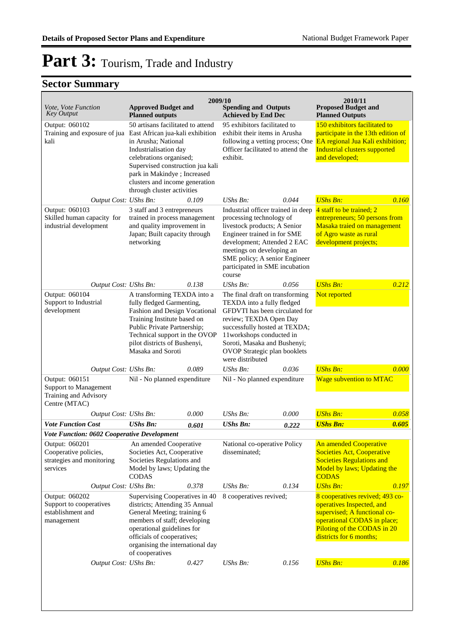| <i>Vote, Vote Function</i><br><b>Key Output</b>                                   | <b>Approved Budget and</b><br><b>Planned outputs</b>                                                                                                                                                                                                                                | 2009/10 | <b>Spending and Outputs</b><br><b>Achieved by End Dec</b>                                                                                                                                                                                                              |                                                                                                                                                                                                                            | 2010/11<br><b>Proposed Budget and</b><br><b>Planned Outputs</b>                                                                                                                       |       |
|-----------------------------------------------------------------------------------|-------------------------------------------------------------------------------------------------------------------------------------------------------------------------------------------------------------------------------------------------------------------------------------|---------|------------------------------------------------------------------------------------------------------------------------------------------------------------------------------------------------------------------------------------------------------------------------|----------------------------------------------------------------------------------------------------------------------------------------------------------------------------------------------------------------------------|---------------------------------------------------------------------------------------------------------------------------------------------------------------------------------------|-------|
| Output: 060102<br>Training and exposure of jua<br>kali                            | 50 artisans facilitated to attend<br>East African jua-kali exhibition<br>in Arusha; National<br>Industrialisation day<br>celebrations organised;<br>Supervised construction jua kali<br>park in Makindye; Increased<br>clusters and income generation<br>through cluster activities |         | 95 exhibitors facilitated to<br>exhibit their items in Arusha<br>following a vetting process; One<br>Officer facilitated to attend the<br>exhibit.                                                                                                                     |                                                                                                                                                                                                                            | 150 exhibitors facilitated to<br>participate in the 13th edition of<br>EA regional Jua Kali exhibition;<br><b>Industrial clusters supported</b><br>and developed;                     |       |
| Output Cost: UShs Bn:                                                             |                                                                                                                                                                                                                                                                                     | 0.109   | UShs Bn:                                                                                                                                                                                                                                                               | 0.044                                                                                                                                                                                                                      | <b>UShs Bn:</b>                                                                                                                                                                       | 0.160 |
| Output: 060103<br>Skilled human capacity for<br>industrial development            | 3 staff and 3 entrepreneurs<br>trained in process management<br>and quality improvement in<br>Japan; Built capacity through<br>networking                                                                                                                                           |         | Industrial officer trained in deep<br>processing technology of<br>livestock products; A Senior<br>Engineer trained in for SME<br>development; Attended 2 EAC<br>meetings on developing an<br>SME policy; A senior Engineer<br>participated in SME incubation<br>course |                                                                                                                                                                                                                            | 4 staff to be trained; 2<br>entrepreneurs; 50 persons from<br>Masaka traied on management<br>of Agro waste as rural<br>development projects;                                          |       |
| Output Cost: UShs Bn:                                                             |                                                                                                                                                                                                                                                                                     | 0.138   | UShs Bn:                                                                                                                                                                                                                                                               | 0.056                                                                                                                                                                                                                      | <b>UShs Bn:</b>                                                                                                                                                                       | 0.212 |
| Output: 060104<br>Support to Industrial<br>development                            | A transforming TEXDA into a<br>fully fledged Garmenting,<br>Fashion and Design Vocational<br>Training Institute based on<br>Public Private Partnership;<br>Technical support in the OVOP<br>pilot districts of Bushenyi,<br>Masaka and Soroti                                       |         | The final draft on transforming<br>were distributed                                                                                                                                                                                                                    | TEXDA into a fully fledged<br>GFDVTI has been circulated for<br>review; TEXDA Open Day<br>successfully hosted at TEXDA;<br>11workshops conducted in<br>Soroti, Masaka and Bushenyi;<br><b>OVOP</b> Strategic plan booklets |                                                                                                                                                                                       |       |
| Output Cost: UShs Bn:                                                             |                                                                                                                                                                                                                                                                                     | 0.089   | UShs Bn:                                                                                                                                                                                                                                                               | 0.036                                                                                                                                                                                                                      | <b>UShs Bn:</b>                                                                                                                                                                       | 0.000 |
| Output: 060151<br>Support to Management<br>Training and Advisory<br>Centre (MTAC) | Nil - No planned expenditure                                                                                                                                                                                                                                                        |         | Nil - No planned expenditure                                                                                                                                                                                                                                           |                                                                                                                                                                                                                            | <b>Wage subvention to MTAC</b>                                                                                                                                                        |       |
| Output Cost: UShs Bn:                                                             |                                                                                                                                                                                                                                                                                     | 0.000   | UShs Bn:                                                                                                                                                                                                                                                               | 0.000                                                                                                                                                                                                                      | <b>UShs Bn:</b>                                                                                                                                                                       | 0.058 |
| <b>Vote Function Cost</b>                                                         | <b>UShs Bn:</b>                                                                                                                                                                                                                                                                     | 0.601   | <b>UShs Bn:</b>                                                                                                                                                                                                                                                        | 0.222                                                                                                                                                                                                                      | <b>UShs Bn:</b>                                                                                                                                                                       | 0.605 |
| Vote Function: 0602 Cooperative Development                                       |                                                                                                                                                                                                                                                                                     |         |                                                                                                                                                                                                                                                                        |                                                                                                                                                                                                                            |                                                                                                                                                                                       |       |
| Output: 060201<br>Cooperative policies,<br>strategies and monitoring<br>services  | An amended Cooperative<br>Societies Act, Cooperative<br>Societies Regulations and<br>Model by laws; Updating the<br><b>CODAS</b>                                                                                                                                                    |         | National co-operative Policy<br>disseminated;                                                                                                                                                                                                                          |                                                                                                                                                                                                                            | An amended Cooperative<br><b>Societies Act, Cooperative</b><br><b>Societies Regulations and</b><br>Model by laws; Updating the<br><b>CODAS</b>                                        |       |
| Output Cost: UShs Bn:                                                             |                                                                                                                                                                                                                                                                                     | 0.378   | UShs Bn:                                                                                                                                                                                                                                                               | 0.134                                                                                                                                                                                                                      | <b>UShs Bn:</b>                                                                                                                                                                       | 0.197 |
| Output: 060202<br>Support to cooperatives<br>establishment and<br>management      | Supervising Cooperatives in 40<br>districts; Attending 35 Annual<br>General Meeting; training 6<br>members of staff; developing<br>operational guidelines for<br>officials of cooperatives;<br>organising the international day<br>of cooperatives                                  |         | 8 cooperatives revived;                                                                                                                                                                                                                                                |                                                                                                                                                                                                                            | 8 cooperatives revived; 493 co-<br>operatives Inspected, and<br>supervised; A functional co-<br>operational CODAS in place;<br>Piloting of the CODAS in 20<br>districts for 6 months; |       |
| Output Cost: UShs Bn:                                                             |                                                                                                                                                                                                                                                                                     | 0.427   | UShs Bn:                                                                                                                                                                                                                                                               | 0.156                                                                                                                                                                                                                      | <b>UShs Bn:</b>                                                                                                                                                                       | 0.186 |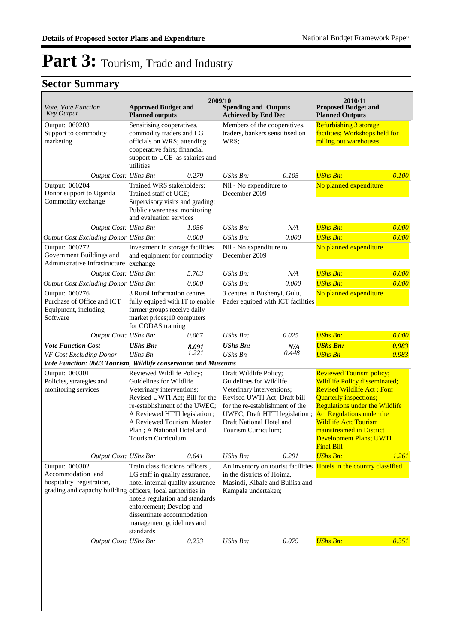| Vote, Vote Function<br><b>Key Output</b>                                                                                         | <b>Approved Budget and</b><br><b>Planned outputs</b>                                                                                                                                                                                                                  |                | 2009/10<br><b>Spending and Outputs</b><br><b>Achieved by End Dec</b>                                                                                                                                                                  |              | 2010/11<br><b>Proposed Budget and</b><br><b>Planned Outputs</b>                                                                                                                                                                                                                                                                 |                |
|----------------------------------------------------------------------------------------------------------------------------------|-----------------------------------------------------------------------------------------------------------------------------------------------------------------------------------------------------------------------------------------------------------------------|----------------|---------------------------------------------------------------------------------------------------------------------------------------------------------------------------------------------------------------------------------------|--------------|---------------------------------------------------------------------------------------------------------------------------------------------------------------------------------------------------------------------------------------------------------------------------------------------------------------------------------|----------------|
| Output: 060203<br>Support to commodity<br>marketing                                                                              | Sensitising cooperatives,<br>commodity traders and LG<br>officials on WRS; attending<br>cooperative fairs; financial<br>support to UCE as salaries and<br>utilities                                                                                                   |                | Members of the cooperatives,<br>traders, bankers sensiitised on<br>WRS;                                                                                                                                                               |              | <b>Refurbishing 3 storage</b><br>facilities; Workshops held for<br>rolling out warehouses                                                                                                                                                                                                                                       |                |
| Output Cost: UShs Bn:<br>Output: 060204<br>Donor support to Uganda<br>Commodity exchange                                         | Trained WRS stakeholders;<br>Trained staff of UCE;<br>Supervisory visits and grading;<br>Public awareness; monitoring<br>and evaluation services                                                                                                                      | 0.279          | <b>UShs Bn:</b><br>0.105<br>Nil - No expenditure to<br>December 2009                                                                                                                                                                  |              | <b>UShs Bn:</b><br>No planned expenditure                                                                                                                                                                                                                                                                                       | 0.100          |
| Output Cost: UShs Bn:                                                                                                            |                                                                                                                                                                                                                                                                       | 1.056          | $UShs Bn$ :                                                                                                                                                                                                                           | N/A          | <b>UShs Bn:</b>                                                                                                                                                                                                                                                                                                                 | 0.000          |
| Output Cost Excluding Donor UShs Bn:                                                                                             |                                                                                                                                                                                                                                                                       | 0.000          | UShs Bn:                                                                                                                                                                                                                              | 0.000        | <b>UShs Bn:</b>                                                                                                                                                                                                                                                                                                                 | 0.000          |
| Output: 060272<br>Government Buildings and<br>Administrative Infrastructure exchange                                             | Investment in storage facilities<br>and equipment for commodity                                                                                                                                                                                                       |                | Nil - No expenditure to<br>December 2009                                                                                                                                                                                              |              | No planned expenditure                                                                                                                                                                                                                                                                                                          |                |
| Output Cost: UShs Bn:                                                                                                            |                                                                                                                                                                                                                                                                       | 5.703          | UShs Bn:                                                                                                                                                                                                                              | N/A          | <b>UShs Bn:</b>                                                                                                                                                                                                                                                                                                                 | 0.000          |
| Output Cost Excluding Donor UShs Bn:                                                                                             |                                                                                                                                                                                                                                                                       | 0.000          | UShs Bn:                                                                                                                                                                                                                              | 0.000        | <b>UShs Bn:</b>                                                                                                                                                                                                                                                                                                                 | 0.000          |
| Output: 060276<br>Purchase of Office and ICT<br>Equipment, including<br>Software                                                 | 3 Rural Information centres<br>fully equiped with IT to enable<br>farmer groups receive daily<br>market prices; 10 computers<br>for CODAS training                                                                                                                    |                | 3 centres in Bushenyi, Gulu,<br>Pader equiped with ICT facilities                                                                                                                                                                     |              | No planned expenditure                                                                                                                                                                                                                                                                                                          |                |
| Output Cost: UShs Bn:                                                                                                            |                                                                                                                                                                                                                                                                       | 0.067          | $UShs Bn$ :                                                                                                                                                                                                                           | 0.025        | <b>UShs Bn:</b>                                                                                                                                                                                                                                                                                                                 | 0.000          |
| <b>Vote Function Cost</b><br>VF Cost Excluding Donor                                                                             | <b>UShs Bn:</b><br><b>UShs Bn</b>                                                                                                                                                                                                                                     | 8.091<br>1.221 | <b>UShs Bn:</b><br><b>UShs Bn</b>                                                                                                                                                                                                     | N/A<br>0.448 | <b>UShs Bn:</b><br><b>UShs Bn</b>                                                                                                                                                                                                                                                                                               | 0.983<br>0.983 |
| Vote Function: 0603 Tourism, Wildlife conservation and Museums                                                                   |                                                                                                                                                                                                                                                                       |                |                                                                                                                                                                                                                                       |              |                                                                                                                                                                                                                                                                                                                                 |                |
| Output: 060301<br>Policies, strategies and<br>monitoring services                                                                | Reviewed Wildlife Policy;<br>Guidelines for Wildlife<br>Veterinary interventions;<br>Revised UWTI Act; Bill for the<br>re-establishment of the UWEC;<br>A Reviewed HTTI legislation;<br>A Reviewed Tourism Master<br>Plan; A National Hotel and<br>Tourism Curriculum |                | Draft Wildlife Policy;<br>Guidelines for Wildlife<br>Veterinary interventions;<br>Revised UWTI Act: Draft bill<br>for the re-establishment of the<br>UWEC; Draft HTTI legislation;<br>Draft National Hotel and<br>Tourism Curriculum; |              | <b>Reviewed Tourism policy;</b><br>Wildlife Policy disseminated;<br><b>Revised Wildlife Act; Four</b><br><b>Quarterly inspections;</b><br><b>Regulations under the Wildlife</b><br><b>Act Regulations under the</b><br><b>Wildlife Act; Tourism</b><br>mainstreamed in District<br>Development Plans; UWTI<br><b>Final Bill</b> |                |
| Output Cost: UShs Bn:                                                                                                            |                                                                                                                                                                                                                                                                       | 0.641          | UShs Bn:                                                                                                                                                                                                                              | 0.291        | <b>UShs Bn:</b>                                                                                                                                                                                                                                                                                                                 | 1.261          |
| Output: 060302<br>Accommodation and<br>hospitality registration,<br>grading and capacity building officers, local authorities in | Train classifications officers,<br>LG staff in quality assurance,<br>hotel internal quality assurance<br>hotels regulation and standards<br>enforcement; Develop and<br>disseminate accommodation<br>management guidelines and<br>standards                           |                | in the districts of Hoima,<br>Masindi, Kibale and Buliisa and<br>Kampala undertaken;                                                                                                                                                  |              | An inventory on tourist facilities Hotels in the country classified                                                                                                                                                                                                                                                             |                |
| Output Cost: UShs Bn:                                                                                                            |                                                                                                                                                                                                                                                                       | 0.233          | UShs Bn:                                                                                                                                                                                                                              | 0.079        | <b>UShs Bn:</b>                                                                                                                                                                                                                                                                                                                 | 0.351          |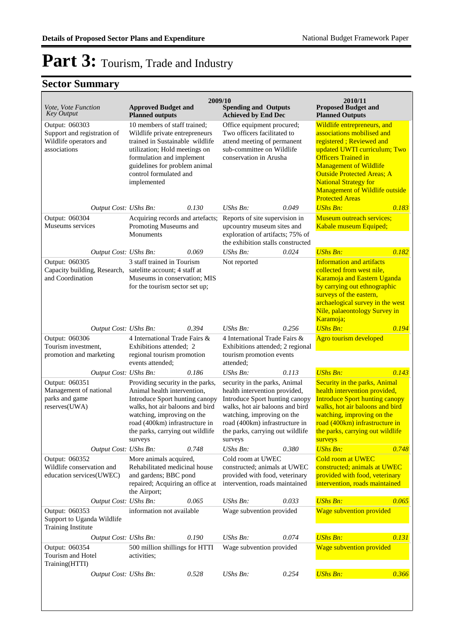| Vote, Vote Function<br><b>Key Output</b>                                                | <b>Approved Budget and</b><br><b>Planned outputs</b>                                                                                                                                                                                                | 2009/10                                                                                | <b>Spending and Outputs</b><br><b>Achieved by End Dec</b>                                                                                                                                                                                          |                                                                                                            | 2010/11<br><b>Proposed Budget and</b><br><b>Planned Outputs</b>                                                                                                                                                                                                                                                              |       |
|-----------------------------------------------------------------------------------------|-----------------------------------------------------------------------------------------------------------------------------------------------------------------------------------------------------------------------------------------------------|----------------------------------------------------------------------------------------|----------------------------------------------------------------------------------------------------------------------------------------------------------------------------------------------------------------------------------------------------|------------------------------------------------------------------------------------------------------------|------------------------------------------------------------------------------------------------------------------------------------------------------------------------------------------------------------------------------------------------------------------------------------------------------------------------------|-------|
| Output: 060303<br>Support and registration of<br>Wildlife operators and<br>associations | 10 members of staff trained;<br>Wildlife private entrepreneurs<br>trained in Sustainable wildlife<br>utilization; Hold meetings on<br>formulation and implement<br>guidelines for problem animal<br>control formulated and<br>implemented           |                                                                                        | Office equipment procured;<br>Two officers facilitated to<br>attend meeting of permanent<br>sub-committee on Wildlife<br>conservation in Arusha                                                                                                    |                                                                                                            | Wildlife entrepreneurs, and<br>associations mobilised and<br>registered; Reviewed and<br>updated UWTI curriculum; Two<br><b>Officers Trained in</b><br><b>Management of Wildlife</b><br><b>Outside Protected Areas; A</b><br><b>National Strategy for</b><br><b>Management of Wildlife outside</b><br><b>Protected Areas</b> |       |
| Output Cost: UShs Bn:                                                                   |                                                                                                                                                                                                                                                     | 0.130                                                                                  | UShs Bn:                                                                                                                                                                                                                                           | 0.049                                                                                                      | <b>UShs Bn:</b>                                                                                                                                                                                                                                                                                                              | 0.183 |
| Output: 060304<br>Museums services                                                      | Acquiring records and artefacts;<br>Promoting Museums and<br>Monuments                                                                                                                                                                              |                                                                                        | Reports of site supervision in<br>upcountry museum sites and<br>exploration of artifacts; 75% of<br>the exhibition stalls constructed                                                                                                              |                                                                                                            | Museum outreach services;<br>Kabale museum Equiped;                                                                                                                                                                                                                                                                          |       |
| Output Cost: UShs Bn:                                                                   |                                                                                                                                                                                                                                                     | 0.069                                                                                  | UShs Bn:                                                                                                                                                                                                                                           | 0.024                                                                                                      | <b>UShs Bn:</b>                                                                                                                                                                                                                                                                                                              | 0.182 |
| Output: 060305<br>Capacity building, Research,<br>and Coordination                      | 3 staff trained in Tourism<br>satelitte account; 4 staff at<br>Museums in conservation; MIS<br>for the tourism sector set up;                                                                                                                       |                                                                                        | Not reported                                                                                                                                                                                                                                       |                                                                                                            | <b>Information and artifacts</b><br>collected from west nile,<br>Karamoja and Eastern Uganda<br>by carrying out ethnographic<br>surveys of the eastern,<br>archaelogical survey in the west<br>Nile, palaeontology Survey in<br>Karamoja;                                                                                    |       |
| Output Cost: UShs Bn:                                                                   |                                                                                                                                                                                                                                                     | 0.394                                                                                  | UShs Bn:                                                                                                                                                                                                                                           | 0.256                                                                                                      | <b>UShs Bn:</b>                                                                                                                                                                                                                                                                                                              | 0.194 |
| Output: 060306<br>Tourism investment,<br>promotion and marketing                        | events attended;                                                                                                                                                                                                                                    | 4 International Trade Fairs &<br>Exhibitions attended; 2<br>regional tourism promotion |                                                                                                                                                                                                                                                    | 4 International Trade Fairs &<br>Exhibitions attended; 2 regional<br>tourism promotion events<br>attended; |                                                                                                                                                                                                                                                                                                                              |       |
| Output Cost: UShs Bn:                                                                   |                                                                                                                                                                                                                                                     | 0.186                                                                                  | $UShs Bn$ :                                                                                                                                                                                                                                        | 0.113                                                                                                      | <b>UShs Bn:</b>                                                                                                                                                                                                                                                                                                              | 0.143 |
| Output: 060351<br>Management of national<br>parks and game<br>reserves(UWA)             | Providing security in the parks,<br>Animal health intervention,<br>Introduce Sport hunting canopy<br>walks, hot air baloons and bird<br>watching, improving on the<br>road (400km) infrastructure in<br>the parks, carrying out wildlife<br>surveys |                                                                                        | security in the parks, Animal<br>health intervention provided,<br>Introduce Sport hunting canopy<br>walks, hot air baloons and bird<br>watching, improving on the<br>road (400km) infrastructure in<br>the parks, carrying out wildlife<br>surveys |                                                                                                            | Security in the parks, Animal<br>health intervention provided,<br><b>Introduce Sport hunting canopy</b><br>walks, hot air baloons and bird<br>watching, improving on the<br>road (400km) infrastructure in<br>the parks, carrying out wildlife<br>surveys                                                                    |       |
| Output Cost: UShs Bn:                                                                   |                                                                                                                                                                                                                                                     | 0.748                                                                                  | <b>UShs Bn:</b>                                                                                                                                                                                                                                    | 0.380                                                                                                      | <b>UShs Bn:</b>                                                                                                                                                                                                                                                                                                              | 0.748 |
| Output: 060352<br>Wildlife conservation and<br>education services(UWEC)                 | More animals acquired,<br>Rehabilitated medicinal house<br>and gardens; BBC pond<br>repaired; Acquiring an office at<br>the Airport;                                                                                                                |                                                                                        | Cold room at UWEC<br>constructed; animals at UWEC<br>provided with food, veterinary<br>intervention, roads maintained                                                                                                                              |                                                                                                            | <b>Cold room at UWEC</b><br>constructed; animals at UWEC<br>provided with food, veterinary<br>intervention, roads maintained                                                                                                                                                                                                 |       |
| Output Cost: UShs Bn:                                                                   |                                                                                                                                                                                                                                                     | 0.065                                                                                  | UShs Bn:                                                                                                                                                                                                                                           | 0.033                                                                                                      | <b>UShs Bn:</b>                                                                                                                                                                                                                                                                                                              | 0.065 |
| Output: 060353<br>Support to Uganda Wildlife<br><b>Training Institute</b>               | information not available                                                                                                                                                                                                                           |                                                                                        | Wage subvention provided                                                                                                                                                                                                                           |                                                                                                            | Wage subvention provided                                                                                                                                                                                                                                                                                                     |       |
| Output Cost: UShs Bn:                                                                   |                                                                                                                                                                                                                                                     | 0.190                                                                                  | UShs Bn:                                                                                                                                                                                                                                           | 0.074                                                                                                      | <b>UShs Bn:</b>                                                                                                                                                                                                                                                                                                              | 0.131 |
| Output: 060354<br>Tourism and Hotel<br>Training(HTTI)                                   | 500 million shillings for HTTI<br>activities;                                                                                                                                                                                                       |                                                                                        | Wage subvention provided                                                                                                                                                                                                                           |                                                                                                            | <b>Wage subvention provided</b>                                                                                                                                                                                                                                                                                              |       |
| Output Cost: UShs Bn:                                                                   |                                                                                                                                                                                                                                                     | 0.528                                                                                  | UShs Bn:                                                                                                                                                                                                                                           | 0.254                                                                                                      | <b>UShs Bn:</b>                                                                                                                                                                                                                                                                                                              | 0.366 |
|                                                                                         |                                                                                                                                                                                                                                                     |                                                                                        |                                                                                                                                                                                                                                                    |                                                                                                            |                                                                                                                                                                                                                                                                                                                              |       |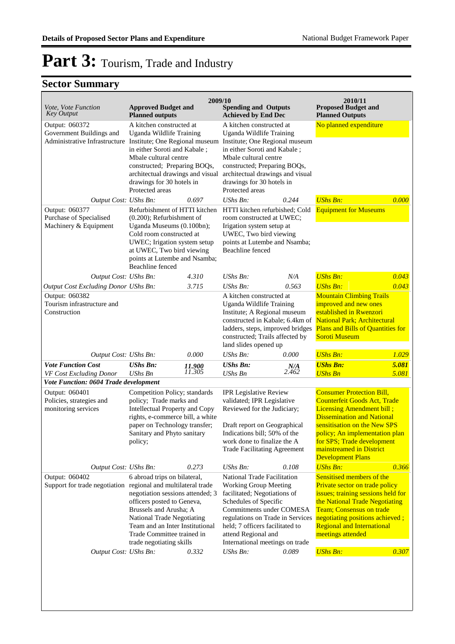| Vote, Vote Function<br><b>Key Output</b>                                                             | <b>Approved Budget and</b><br><b>Planned outputs</b>                                                                                                                                                                                                                | 2009/10          | <b>Spending and Outputs</b><br><b>Achieved by End Dec</b>                                                                                                                                                                                                                                |              | 2010/11<br><b>Proposed Budget and</b><br><b>Planned Outputs</b>                                                                                                                                                                                                                                   |                |
|------------------------------------------------------------------------------------------------------|---------------------------------------------------------------------------------------------------------------------------------------------------------------------------------------------------------------------------------------------------------------------|------------------|------------------------------------------------------------------------------------------------------------------------------------------------------------------------------------------------------------------------------------------------------------------------------------------|--------------|---------------------------------------------------------------------------------------------------------------------------------------------------------------------------------------------------------------------------------------------------------------------------------------------------|----------------|
| Output: 060372<br>Government Buildings and<br>Administrative Infrastructure                          | A kitchen constructed at<br>Uganda Wildlife Training<br>Institute; One Regional museum<br>in either Soroti and Kabale;<br>Mbale cultural centre<br>constructed; Preparing BOQs,<br>architectual drawings and visual<br>drawings for 30 hotels in<br>Protected areas |                  | A kitchen constructed at<br>Uganda Wildlife Training<br>Institute; One Regional museum<br>in either Soroti and Kabale;<br>Mbale cultural centre<br>constructed; Preparing BOQs,<br>architectual drawings and visual<br>drawings for 30 hotels in<br>Protected areas                      |              | No planned expenditure                                                                                                                                                                                                                                                                            |                |
| Output Cost: UShs Bn:                                                                                |                                                                                                                                                                                                                                                                     | 0.697            | $UShs Bn$ :                                                                                                                                                                                                                                                                              | 0.244        | <b>UShs Bn:</b>                                                                                                                                                                                                                                                                                   | 0.000          |
| Output: 060377<br>Purchase of Specialised<br>Machinery & Equipment                                   | Refurbishment of HTTI kitchen<br>(0.200); Refurbishment of<br>Uganda Museums (0.100bn);<br>Cold room constructed at<br>UWEC; Irigation system setup<br>at UWEC, Two bird viewing<br>points at Lutembe and Nsamba;<br>Beachline fenced                               |                  | HTTI kitchen refurbished; Cold<br>room constructed at UWEC;<br>Irigation system setup at<br>UWEC, Two bird viewing<br>points at Lutembe and Nsamba;<br>Beachline fenced                                                                                                                  |              | <b>Equipment for Museums</b>                                                                                                                                                                                                                                                                      |                |
| Output Cost: UShs Bn:                                                                                |                                                                                                                                                                                                                                                                     | 4.310            | UShs Bn:                                                                                                                                                                                                                                                                                 | N/A          | <b>UShs Bn:</b>                                                                                                                                                                                                                                                                                   | 0.043          |
| Output Cost Excluding Donor UShs Bn:<br>Output: 060382<br>Tourism infrastructure and<br>Construction |                                                                                                                                                                                                                                                                     | 3.715            | $UShs Bn$ :<br>A kitchen constructed at<br>Uganda Wildlife Training<br>Institute; A Regional museum<br>constructed in Kabale; 6.4km of<br>ladders, steps, improved bridges<br>constructed; Trails affected by<br>land slides opened up                                                   | 0.563        | <b>UShs Bn:</b><br><b>Mountain Climbing Trails</b><br>improved and new ones<br>established in Rwenzori<br><b>National Park; Architectural</b><br>Plans and Bills of Quantities for<br><b>Soroti Museum</b>                                                                                        | 0.043          |
| Output Cost: UShs Bn:                                                                                |                                                                                                                                                                                                                                                                     | 0.000            | UShs Bn:                                                                                                                                                                                                                                                                                 | 0.000        | <b>UShs Bn:</b>                                                                                                                                                                                                                                                                                   | 1.029          |
| <b>Vote Function Cost</b><br>VF Cost Excluding Donor                                                 | <b>UShs Bn:</b><br><b>UShs Bn</b>                                                                                                                                                                                                                                   | 11.900<br>11.305 | <b>UShs Bn:</b><br><b>UShs Bn</b>                                                                                                                                                                                                                                                        | N/A<br>2.462 | <b>UShs Bn:</b><br><b>UShs Bn</b>                                                                                                                                                                                                                                                                 | 5.081<br>5.081 |
| Vote Function: 0604 Trade development                                                                |                                                                                                                                                                                                                                                                     |                  |                                                                                                                                                                                                                                                                                          |              |                                                                                                                                                                                                                                                                                                   |                |
| Output: 060401<br>Policies, strategies and<br>monitoring services                                    | Competition Policy; standards<br>policy; Trade marks and<br>Intellectual Property and Copy<br>rights, e-commerce bill, a white<br>paper on Technology transfer;<br>Sanitary and Phyto sanitary<br>policy;                                                           |                  | <b>IPR Legislative Review</b><br>validated; IPR Legislative<br>Reviewed for the Judiciary;<br>Draft report on Geographical<br>Indications bill; 50% of the<br>work done to finalize the A<br><b>Trade Facilitating Agreement</b>                                                         |              | <b>Consumer Protection Bill,</b><br><b>Counterfeit Goods Act, Trade</b><br>Licensing Amendment bill;<br><b>Dissemination and National</b><br>sensitisation on the New SPS<br>policy; An implementation plan<br>for SPS; Trade development<br>mainstreamed in District<br><b>Development Plans</b> |                |
| Output Cost: UShs Bn:                                                                                |                                                                                                                                                                                                                                                                     | 0.273            | UShs Bn:                                                                                                                                                                                                                                                                                 | 0.108        | <b>UShs Bn:</b>                                                                                                                                                                                                                                                                                   | 0.366          |
| Output: 060402<br>Support for trade negotiation regional and multilateral trade                      | 6 abroad trips on bilateral,<br>negotiation sessions attended; 3<br>officers posted to Geneva,<br>Brussels and Arusha; A<br>National Trade Negotiating<br>Team and an Inter Institutional<br>Trade Committee trained in<br>trade negotiating skills                 |                  | <b>National Trade Facilitation</b><br><b>Working Group Meeting</b><br>facilitated; Negotiations of<br>Schedules of Specific<br>Commitments under COMESA<br>regulations on Trade in Services<br>held; 7 officers facilitated to<br>attend Regional and<br>International meetings on trade |              | Sensitised members of the<br>Private sector on trade policy<br>issues; training sessions held for<br>the National Trade Negotiating<br>Team; Consensus on trade<br>negotiating positions achieved;<br><b>Regional and International</b><br>meetings attended                                      |                |
| Output Cost: UShs Bn:                                                                                |                                                                                                                                                                                                                                                                     | 0.332            | UShs $Bn$ :                                                                                                                                                                                                                                                                              | 0.089        | <b>UShs Bn:</b>                                                                                                                                                                                                                                                                                   | 0.307          |
|                                                                                                      |                                                                                                                                                                                                                                                                     |                  |                                                                                                                                                                                                                                                                                          |              |                                                                                                                                                                                                                                                                                                   |                |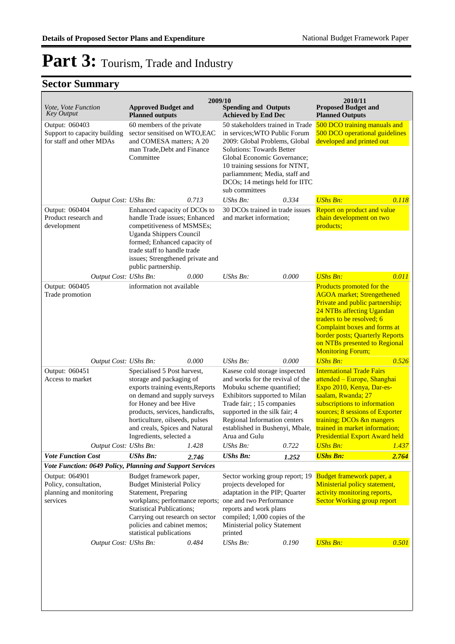| Vote, Vote Function<br><b>Key Output</b>                                                                                                    | <b>Approved Budget and</b><br><b>Planned outputs</b>                                                                                                                                                                                                                                     | 2009/10 | <b>Spending and Outputs</b><br><b>Achieved by End Dec</b>                                                                                                                                                                                                                                     |       | 2010/11<br><b>Proposed Budget and</b><br><b>Planned Outputs</b>                                                                                                                                                                                                                                           |       |
|---------------------------------------------------------------------------------------------------------------------------------------------|------------------------------------------------------------------------------------------------------------------------------------------------------------------------------------------------------------------------------------------------------------------------------------------|---------|-----------------------------------------------------------------------------------------------------------------------------------------------------------------------------------------------------------------------------------------------------------------------------------------------|-------|-----------------------------------------------------------------------------------------------------------------------------------------------------------------------------------------------------------------------------------------------------------------------------------------------------------|-------|
| Output: 060403<br>Support to capacity building<br>for staff and other MDAs                                                                  | 60 members of the private<br>sector sensitised on WTO,EAC<br>and COMESA matters; A 20<br>man Trade, Debt and Finance<br>Committee                                                                                                                                                        |         | 50 stakeholders trained in Trade<br>in services; WTO Public Forum<br>2009: Global Problems, Global<br><b>Solutions: Towards Better</b><br>Global Economic Governance;<br>10 training sessions for NTNT,<br>parliamnment; Media, staff and<br>DCOs; 14 metings held for IITC<br>sub committees |       | 500 DCO training manuals and<br>500 DCO operational guidelines<br>developed and printed out                                                                                                                                                                                                               |       |
| Output Cost: UShs Bn:                                                                                                                       | 0.713                                                                                                                                                                                                                                                                                    |         | UShs Bn:                                                                                                                                                                                                                                                                                      | 0.334 | <b>UShs Bn:</b>                                                                                                                                                                                                                                                                                           | 0.118 |
| Output: 060404<br>Product research and<br>development                                                                                       | Enhanced capacity of DCOs to<br>handle Trade issues; Enhanced<br>competitiveness of MSMSEs;<br><b>Uganda Shippers Council</b><br>formed; Enhanced capacity of<br>trade staff to handle trade<br>issues; Strengthened private and<br>public partnership.                                  |         | 30 DCOs trained in trade issues<br>and market information;                                                                                                                                                                                                                                    |       | Report on product and value<br>chain development on two<br>products;                                                                                                                                                                                                                                      |       |
| Output Cost: UShs Bn:                                                                                                                       | 0.000                                                                                                                                                                                                                                                                                    |         | UShs Bn:                                                                                                                                                                                                                                                                                      | 0.000 | <b>UShs Bn:</b>                                                                                                                                                                                                                                                                                           | 0.011 |
| Output: 060405<br>Trade promotion                                                                                                           | information not available                                                                                                                                                                                                                                                                |         |                                                                                                                                                                                                                                                                                               |       | Products promoted for the<br><b>AGOA</b> market; Strengethened<br>Private and public partnership;<br>24 NTBs affecting Ugandan<br>traders to be resolved; 6<br><b>Complaint boxes and forms at</b><br><b>border posts; Quarterly Reports</b><br>on NTBs presented to Regional<br><b>Monitoring Forum;</b> |       |
| Output Cost: UShs Bn:                                                                                                                       | 0.000                                                                                                                                                                                                                                                                                    |         | UShs Bn:                                                                                                                                                                                                                                                                                      | 0.000 | <b>UShs Bn:</b>                                                                                                                                                                                                                                                                                           | 0.526 |
| Output: 060451<br>Access to market                                                                                                          | Specialised 5 Post harvest,<br>storage and packaging of<br>exports training events, Reports<br>on demand and supply surveys<br>for Honey and bee Hive<br>products, services, handicrafts,<br>horticulture, oilseeds, pulses<br>and creals, Spices and Natural<br>Ingredients, selected a |         | Kasese cold storage inspected<br>and works for the revival of the<br>Mobuku scheme quantified;<br>Exhibitors supported to Milan<br>Trade fair; ; 15 companies<br>supported in the silk fair; 4<br>Regional Information centers<br>established in Bushenyi, Mbale,<br>Arua and Gulu            |       | <b>International Trade Fairs</b><br>attended - Europe, Shanghai<br>Expo 2010, Kenya, Dar-es-<br>saalam, Rwanda; 27<br>subscriptions to information<br>sources; 8 sessions of Exporter<br>training; DCOs &n mangers<br>trained in market information;<br><b>Presidential Export Award held</b>             |       |
| Output Cost: UShs Bn:                                                                                                                       | 1.428                                                                                                                                                                                                                                                                                    |         | UShs Bn:                                                                                                                                                                                                                                                                                      | 0.722 | <b>UShs Bn:</b>                                                                                                                                                                                                                                                                                           | 1.437 |
| <b>Vote Function Cost</b>                                                                                                                   | <b>UShs Bn:</b><br>2.746                                                                                                                                                                                                                                                                 |         | <b>UShs Bn:</b>                                                                                                                                                                                                                                                                               | 1.252 | <b>UShs Bn:</b>                                                                                                                                                                                                                                                                                           | 2.764 |
| Vote Function: 0649 Policy, Planning and Support Services<br>Output: 064901<br>Policy, consultation,<br>planning and monitoring<br>services | Budget framework paper,<br><b>Budget Ministerial Policy</b><br>Statement, Preparing<br>workplans; performance reports; one and two Performance<br><b>Statistical Publications;</b><br>Carrying out research on sector<br>policies and cabinet memos;<br>statistical publications         |         | Sector working group report; 19<br>projects developed for<br>adaptation in the PIP; Quarter<br>reports and work plans<br>compiled; 1,000 copies of the<br>Ministerial policy Statement<br>printed                                                                                             |       | Budget framework paper, a<br>Ministerial policy statement,<br>activity monitoring reports,<br><b>Sector Working group report</b>                                                                                                                                                                          |       |
| Output Cost: UShs Bn:                                                                                                                       | 0.484                                                                                                                                                                                                                                                                                    |         | UShs Bn:                                                                                                                                                                                                                                                                                      | 0.190 | <b>UShs Bn:</b>                                                                                                                                                                                                                                                                                           | 0.501 |
|                                                                                                                                             |                                                                                                                                                                                                                                                                                          |         |                                                                                                                                                                                                                                                                                               |       |                                                                                                                                                                                                                                                                                                           |       |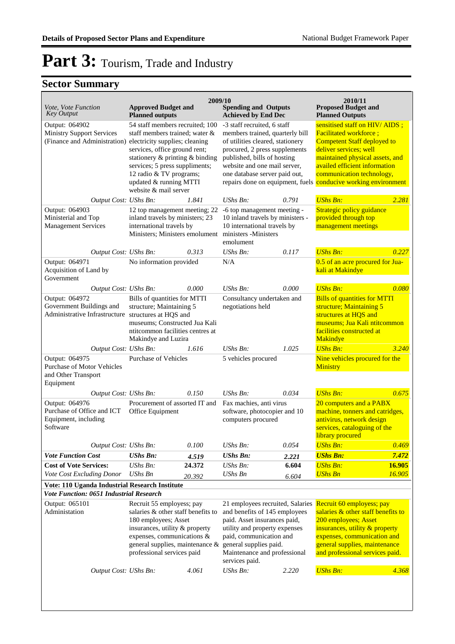| Vote, Vote Function<br><b>Key Output</b>                                                          | <b>Approved Budget and</b><br><b>Planned outputs</b>                                                                                                                                                                                                                                                                 | 2009/10 | <b>Spending and Outputs</b><br><b>Achieved by End Dec</b>                                                                                                                                                                                 |       | 2010/11<br><b>Proposed Budget and</b><br><b>Planned Outputs</b>                                                                                                                                                                                                                            |        |
|---------------------------------------------------------------------------------------------------|----------------------------------------------------------------------------------------------------------------------------------------------------------------------------------------------------------------------------------------------------------------------------------------------------------------------|---------|-------------------------------------------------------------------------------------------------------------------------------------------------------------------------------------------------------------------------------------------|-------|--------------------------------------------------------------------------------------------------------------------------------------------------------------------------------------------------------------------------------------------------------------------------------------------|--------|
| Output: 064902<br><b>Ministry Support Services</b>                                                | 54 staff members recruited; 100<br>staff members trained; water &<br>(Finance and Administration) electricity supplies; cleaning<br>services, office ground rent;<br>stationery & printing & binding<br>services; 5 press suppliments;<br>12 radio & TV programs;<br>updated & running MTTI<br>website & mail server |         | -3 staff recruited, 6 staff<br>members trained, quarterly bill<br>of utilities cleared, stationery<br>procured, 2 press supplements<br>published, bills of hosting<br>website and one mail server,<br>one database server paid out,       |       | sensitised staff on HIV/AIDS;<br><b>Facilitated workforce;</b><br>Competent Staff deployed to<br>deliver services; well<br>maintained physical assets, and<br>availed efficient information<br>communication technology,<br>repairs done on equipment, fuels conducive working environment |        |
| Output: 064903<br>Ministerial and Top<br><b>Management Services</b>                               | 1.841<br>Output Cost: UShs Bn:<br>12 top management meeting; 22<br>inland travels by ministers; 23<br>international travels by<br>Ministers; Ministers emolument                                                                                                                                                     |         | $UShs Bn$ :<br>-6 top management meeting -<br>10 inland travels by ministers -<br>10 international travels by<br>ministers -Ministers<br>emolument                                                                                        | 0.791 | <b>UShs Bn:</b><br>Strategic policy guidance<br>provided through top<br>management meetings                                                                                                                                                                                                | 2.281  |
| Output Cost: UShs Bn:                                                                             |                                                                                                                                                                                                                                                                                                                      | 0.313   | UShs Bn:                                                                                                                                                                                                                                  | 0.117 | <b>UShs Bn:</b>                                                                                                                                                                                                                                                                            | 0.227  |
| Output: 064971<br>Acquisition of Land by<br>Government                                            | No information provided                                                                                                                                                                                                                                                                                              |         | N/A                                                                                                                                                                                                                                       |       | 0.5 of an acre procured for Jua-<br>kali at Makindye                                                                                                                                                                                                                                       |        |
| Output Cost: UShs Bn:                                                                             |                                                                                                                                                                                                                                                                                                                      | 0.000   | UShs Bn:                                                                                                                                                                                                                                  | 0.000 | <b>UShs Bn:</b>                                                                                                                                                                                                                                                                            | 0.080  |
| Output: 064972<br>Government Buildings and<br>Administrative Infrastructure structures at HQS and | Bills of quantities for MTTI<br>structure; Maintaining 5<br>museums; Constructed Jua Kali<br>ntitcommon facilities centres at<br>Makindye and Luzira                                                                                                                                                                 |         | Consultancy undertaken and<br>negotiations held                                                                                                                                                                                           |       | <b>Bills of quantities for MTTI</b><br>structure; Maintaining 5<br>structures at HQS and<br>museums; Jua Kali ntitcommon<br>facilities constructed at<br>Makindye                                                                                                                          |        |
| Output Cost: UShs Bn:                                                                             |                                                                                                                                                                                                                                                                                                                      | 1.616   | UShs Bn:                                                                                                                                                                                                                                  | 1.025 | <b>UShs Bn:</b>                                                                                                                                                                                                                                                                            | 3.240  |
| Output: 064975<br><b>Purchase of Motor Vehicles</b><br>and Other Transport<br>Equipment           | <b>Purchase of Vehicles</b>                                                                                                                                                                                                                                                                                          |         | 5 vehicles procured                                                                                                                                                                                                                       |       | Nine vehicles procured for the<br>Ministry                                                                                                                                                                                                                                                 |        |
| Output Cost: UShs Bn:                                                                             |                                                                                                                                                                                                                                                                                                                      | 0.150   | $UShs Bn$ :                                                                                                                                                                                                                               | 0.034 | <b>UShs Bn:</b>                                                                                                                                                                                                                                                                            | 0.675  |
| Output: 064976<br>Purchase of Office and ICT<br>Equipment, including<br>Software                  | Procurement of assorted IT and<br>Office Equipment                                                                                                                                                                                                                                                                   |         | Fax machies, anti virus<br>software, photocopier and 10<br>computers procured                                                                                                                                                             |       | 20 computers and a PABX<br>machine, tonners and catridges,<br>antivirus, network design<br>services, cataloguing of the<br>library procured                                                                                                                                                |        |
| Output Cost: UShs Bn:                                                                             |                                                                                                                                                                                                                                                                                                                      | 0.100   | UShs Bn:                                                                                                                                                                                                                                  | 0.054 | <b>UShs Bn:</b>                                                                                                                                                                                                                                                                            | 0.469  |
| <b>Vote Function Cost</b>                                                                         | <b>UShs Bn:</b>                                                                                                                                                                                                                                                                                                      | 4.519   | <b>UShs Bn:</b>                                                                                                                                                                                                                           | 2.221 | <b>UShs Bn:</b>                                                                                                                                                                                                                                                                            | 7.472  |
| <b>Cost of Vote Services:</b>                                                                     | UShs Bn:                                                                                                                                                                                                                                                                                                             | 24.372  | UShs Bn:                                                                                                                                                                                                                                  | 6.604 | <b>UShs Bn:</b>                                                                                                                                                                                                                                                                            | 16.905 |
| Vote Cost Excluding Donor                                                                         | <b>UShs Bn</b>                                                                                                                                                                                                                                                                                                       | 20.392  | <b>UShs Bn</b>                                                                                                                                                                                                                            | 6.604 | <b>UShs Bn</b>                                                                                                                                                                                                                                                                             | 16.905 |
| Vote: 110 Uganda Industrial Research Institute                                                    |                                                                                                                                                                                                                                                                                                                      |         |                                                                                                                                                                                                                                           |       |                                                                                                                                                                                                                                                                                            |        |
| <b>Vote Function: 0651 Industrial Research</b>                                                    |                                                                                                                                                                                                                                                                                                                      |         |                                                                                                                                                                                                                                           |       |                                                                                                                                                                                                                                                                                            |        |
| Output: 065101<br>Administation                                                                   | Recruit 55 employess; pay<br>salaries & other staff benefits to<br>180 employees; Asset<br>insurances, utility & property<br>expenses, communications &<br>general supplies, maintenance &<br>professional services paid                                                                                             |         | 21 employees recruited, Salaries<br>and benefits of 145 employees<br>paid. Asset insurances paid,<br>utility and property expenses<br>paid, communication and<br>general supplies paid.<br>Maintenance and professional<br>services paid. |       | Recruit 60 employess; pay<br>salaries & other staff benefits to<br>200 employees; Asset<br>insurances, utility & property<br>expenses, communication and<br>general supplies, maintenance<br>and professional services paid.                                                               |        |
| Output Cost: UShs Bn:                                                                             |                                                                                                                                                                                                                                                                                                                      | 4.061   | UShs Bn:                                                                                                                                                                                                                                  | 2.220 | <b>UShs Bn:</b>                                                                                                                                                                                                                                                                            | 4.368  |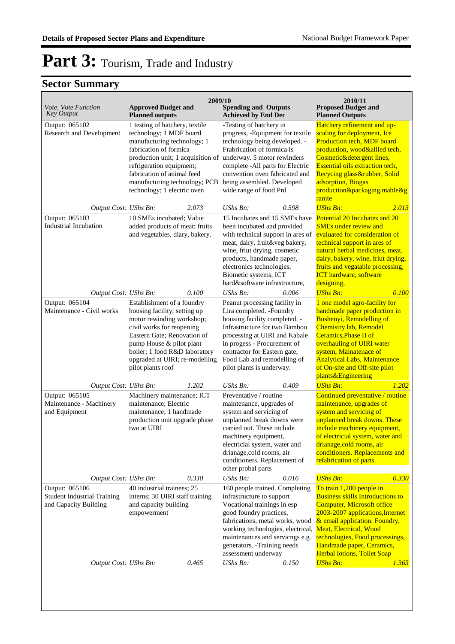| Vote, Vote Function<br><b>Key Output</b>                                      | <b>Approved Budget and</b><br><b>Planned outputs</b>                                                                                                                                                                                                                             | 2009/10<br><b>Spending and Outputs</b><br><b>Achieved by End Dec</b>                                                                                                                                                                                                                                                      | 2010/11<br><b>Proposed Budget and</b><br><b>Planned Outputs</b>                                                                                                                                                                                                                                                                             |
|-------------------------------------------------------------------------------|----------------------------------------------------------------------------------------------------------------------------------------------------------------------------------------------------------------------------------------------------------------------------------|---------------------------------------------------------------------------------------------------------------------------------------------------------------------------------------------------------------------------------------------------------------------------------------------------------------------------|---------------------------------------------------------------------------------------------------------------------------------------------------------------------------------------------------------------------------------------------------------------------------------------------------------------------------------------------|
| Output: 065102<br>Research and Development                                    | 1 testing of hatchery, textile<br>technology; 1 MDF board<br>manufacturing technology; 1<br>fabrication of formica<br>refrigeration equipment;<br>fabrication of animal feed<br>manufacturing technology; PCB<br>technology; 1 electric oven                                     | -Testing of hatchery in<br>progress, -Equipment for textile<br>technology being developed. -<br>Frabrication of formica is<br>production unit; 1 acquisition of underway. 5 motor rewinders<br>complete -All parts for Electric<br>convention oven fabricated and<br>being assembled. Developed<br>wide range of food Prd | Hatchery refinement and up-<br>scaling for deployment, Ice<br>Production tech, MDF board<br>production, wood&allied tech,<br>Cosmetic&detergent lines,<br><b>Essential oils extraction tech,</b><br>Recycing glass&rubber, Solid<br>adsorption, Biogas<br>production&packaging,mable&g<br>ranite                                            |
| Output Cost: UShs Bn:<br>Output: 065103<br><b>Industrial Incubation</b>       | 2.073<br>10 SMEs incubated; Value<br>added products of meat; fruits<br>and vegetables, diary, bakery.                                                                                                                                                                            | $UShs Bn$ :<br>0.598<br>15 Incubates and 15 SMEs have<br>been incubated and provided<br>with technical support in ares of<br>meat, dairy, fruit&veg bakery,<br>wine, friut drying, cosmetic<br>products, handmade paper,<br>electronics technologies,<br>Biometic systems, ICT<br>hard&software infrastructure,           | <b>UShs Bn:</b><br>2.013<br>Potential 20 Incubates and 20<br><b>SMEs under review and</b><br>evaluated for consideration of<br>technical support in ares of<br>natural herbal medicines, meat,<br>dairy, bakery, wine, friut drying,<br>fruits and vegatable processing,<br><b>ICT</b> hardware, software<br>designing,                     |
| Output Cost: UShs Bn:<br>Output: 065104<br>Maintenance - Civil works          | 0.100<br>Establishment of a foundry<br>housing facility; setting up<br>motor rewinding workshop;<br>civil works for reopening<br>Eastern Gate; Renovation of<br>pump House & pilot plant<br>boiler; 1 food R&D laboratory<br>upgraded at UIRI; re-modelling<br>pilot plants roof | UShs Bn:<br>0.006<br>Peanut processing facility in<br>Lira completed. -Foundry<br>housing facility completed. -<br>Infrastructure for two Bamboo<br>processing at UIRI and Kabale<br>in progess - Procurement of<br>contractor for Eastern gate,<br>Food Lab and remodelling of<br>pilot plants is underway.              | <b>UShs Bn:</b><br>0.100<br>1 one model agro-facility for<br>handmade paper production in<br>Bushenyi, Remodelling of<br><b>Chemistry lab, Remodel</b><br><b>Ceramics, Phase II of</b><br>overhauling of UIRI water<br>system, Mainatenace of<br><b>Analytical Labs, Maintenance</b><br>of On-site and Off-site pilot<br>plants&Engineering |
| Output Cost: UShs Bn:                                                         | 1.202                                                                                                                                                                                                                                                                            | 0.409<br>UShs Bn:                                                                                                                                                                                                                                                                                                         | <b>UShs Bn:</b><br>1.202                                                                                                                                                                                                                                                                                                                    |
| Output: 065105<br>Maintenance - Machinery<br>and Equipment                    | Machinery maintenance; ICT<br>maintenance; Electric<br>maintenance; 1 handmade<br>production unit upgrade phase<br>two at UIRI                                                                                                                                                   | Preventative / routine<br>maintenance, upgrades of<br>system and servicing of<br>unplanned break downs were<br>carried out. These include<br>machinery equipment,<br>electricial system, water and<br>drianage, cold rooms, air<br>conditioners. Replacement of<br>other probal parts                                     | Continued preventative / routine<br>maintenance, upgrades of<br>system and servicing of<br>unplanned break downs. These<br>include machinery equipment,<br>of electricial system, water and<br>drianage, cold rooms, air<br>conditioners. Replacements and<br>refabrication of parts.                                                       |
| Output Cost: UShs Bn:                                                         | 0.330                                                                                                                                                                                                                                                                            | UShs Bn:<br>0.016                                                                                                                                                                                                                                                                                                         | <b>UShs Bn:</b><br>0.330                                                                                                                                                                                                                                                                                                                    |
| Output: 065106<br><b>Student Industrial Training</b><br>and Capacity Building | 40 industrial trainees; 25<br>interns; 30 UIRI staff training<br>and capacity building<br>empowerment                                                                                                                                                                            | 160 people trained. Completing<br>infrastructure to support<br>Vocational trainings in esp<br>good foundry practices,<br>fabrications, metal works, wood<br>working technologies, electrical,<br>maintenances and servicngs e.g.<br>generators. - Training needs<br>assessment underway                                   | To train 1,200 people in<br><b>Business skills Introductions to</b><br><b>Computer, Microsoft office</b><br>2003-2007 applications, Internet<br>& email application. Foundry,<br>Meat, Electrical, Wood<br>technologies, Food processings,<br>Handmade paper, Ceramics,<br><b>Herbal lotions, Toilet Soap</b>                               |
| Output Cost: UShs Bn:                                                         | 0.465                                                                                                                                                                                                                                                                            | <b>UShs Bn:</b><br>0.150                                                                                                                                                                                                                                                                                                  | <b>UShs Bn:</b><br>1.365                                                                                                                                                                                                                                                                                                                    |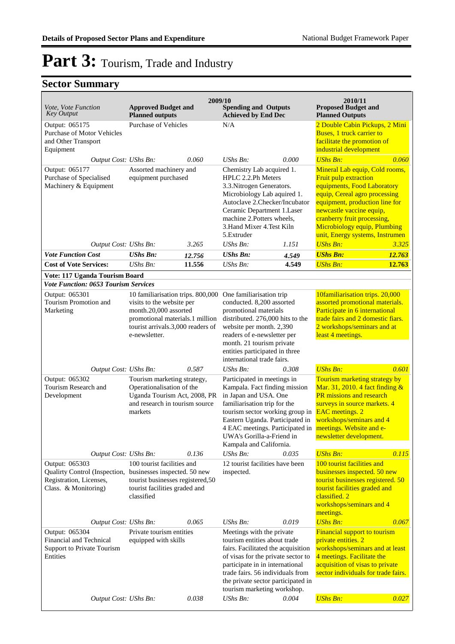| Vote, Vote Function<br><b>Key Output</b>                                                           | <b>Approved Budget and</b><br><b>Planned outputs</b>                                                                                                                             |        | 2009/10<br><b>Spending and Outputs</b><br><b>Achieved by End Dec</b>                                                                                                                                                                                                              |                                                                                                                                                                                                                                                             | 2010/11<br><b>Proposed Budget and</b><br><b>Planned Outputs</b>                                                                                                                                                                                                                         |                                                                                                                                                                                                                    |
|----------------------------------------------------------------------------------------------------|----------------------------------------------------------------------------------------------------------------------------------------------------------------------------------|--------|-----------------------------------------------------------------------------------------------------------------------------------------------------------------------------------------------------------------------------------------------------------------------------------|-------------------------------------------------------------------------------------------------------------------------------------------------------------------------------------------------------------------------------------------------------------|-----------------------------------------------------------------------------------------------------------------------------------------------------------------------------------------------------------------------------------------------------------------------------------------|--------------------------------------------------------------------------------------------------------------------------------------------------------------------------------------------------------------------|
| Output: 065175<br><b>Purchase of Motor Vehicles</b><br>and Other Transport<br>Equipment            | <b>Purchase of Vehicles</b>                                                                                                                                                      |        | N/A                                                                                                                                                                                                                                                                               |                                                                                                                                                                                                                                                             | 2 Double Cabin Pickups, 2 Mini<br>Buses, 1 truck carrier to<br>facilitate the promotion of<br>industrial development                                                                                                                                                                    |                                                                                                                                                                                                                    |
| Output Cost: UShs Bn:                                                                              |                                                                                                                                                                                  | 0.060  | UShs Bn:                                                                                                                                                                                                                                                                          | 0.000                                                                                                                                                                                                                                                       | <b>UShs Bn:</b>                                                                                                                                                                                                                                                                         | 0.060                                                                                                                                                                                                              |
| Output: 065177<br>Purchase of Specialised<br>Machinery & Equipment                                 | Assorted machinery and<br>equipment purchased                                                                                                                                    |        | Chemistry Lab acquired 1.<br>HPLC 2.2.Ph Meters<br>3.3. Nitrogen Generators.<br>Microbiology Lab aquired 1.<br>Autoclave 2.Checker/Incubator<br>Ceramic Department 1.Laser<br>machine 2.Potters wheels,<br>3. Hand Mixer 4. Test Kiln<br>5. Extruder                              |                                                                                                                                                                                                                                                             | Mineral Lab equip, Cold rooms,<br>Fruit pulp extraction<br>equipments, Food Laboratory<br>equip, Cereal agro processing<br>equipment, production line for<br>newcastle vaccine equip,<br>cranberry fruit processing,<br>Microbiology equip, Plumbing<br>unit, Energy systems, Instrumen |                                                                                                                                                                                                                    |
| Output Cost: UShs Bn:                                                                              |                                                                                                                                                                                  | 3.265  | UShs Bn:                                                                                                                                                                                                                                                                          | 1.151                                                                                                                                                                                                                                                       | <b>UShs Bn:</b>                                                                                                                                                                                                                                                                         | 3.325                                                                                                                                                                                                              |
| <b>Vote Function Cost</b>                                                                          | <b>UShs Bn:</b>                                                                                                                                                                  | 12.756 | <b>UShs Bn:</b>                                                                                                                                                                                                                                                                   | 4.549                                                                                                                                                                                                                                                       | <b>UShs Bn:</b>                                                                                                                                                                                                                                                                         | 12.763                                                                                                                                                                                                             |
| <b>Cost of Vote Services:</b>                                                                      | UShs Bn:                                                                                                                                                                         | 11.556 | UShs Bn:                                                                                                                                                                                                                                                                          | 4.549                                                                                                                                                                                                                                                       | <b>UShs Bn:</b>                                                                                                                                                                                                                                                                         | 12.763                                                                                                                                                                                                             |
| Vote: 117 Uganda Tourism Board                                                                     |                                                                                                                                                                                  |        |                                                                                                                                                                                                                                                                                   |                                                                                                                                                                                                                                                             |                                                                                                                                                                                                                                                                                         |                                                                                                                                                                                                                    |
| <b>Vote Function: 0653 Tourism Services</b>                                                        |                                                                                                                                                                                  |        |                                                                                                                                                                                                                                                                                   |                                                                                                                                                                                                                                                             |                                                                                                                                                                                                                                                                                         |                                                                                                                                                                                                                    |
| Output: 065301<br>Tourism Promotion and<br>Marketing                                               | 10 familiarisation trips. 800,000<br>visits to the website per<br>month.20,000 assorted<br>promotional materials.1 million<br>tourist arrivals.3,000 readers of<br>e-newsletter. |        | One familiarisation trip<br>conducted. 8,200 assorted<br>promotional materials<br>distributed. 276,000 hits to the<br>website per month. 2,390<br>readers of e-newsletter per<br>month. 21 tourism private<br>entities participated in three<br>international trade fairs.        |                                                                                                                                                                                                                                                             | 10familiarisation trips. 20,000<br>assorted promotional materials.<br>Participate in 6 international<br>trade fairs and 2 domestic fiars.<br>2 workshops/seminars and at<br>least 4 meetings.                                                                                           |                                                                                                                                                                                                                    |
| Output Cost: UShs Bn:                                                                              |                                                                                                                                                                                  | 0.587  | UShs Bn:                                                                                                                                                                                                                                                                          | 0.308                                                                                                                                                                                                                                                       | <b>UShs Bn:</b>                                                                                                                                                                                                                                                                         | 0.601                                                                                                                                                                                                              |
| Output: 065302<br>Tourism Research and<br>Development                                              | Tourism marketing strategy,<br>Operationalisation of the<br>Uganda Tourism Act, 2008, PR<br>and research in tourism source<br>markets                                            |        | Kampala and California.                                                                                                                                                                                                                                                           | Participated in meetings in<br>Kampala. Fact finding mission<br>in Japan and USA. One<br>familiarisation trip for the<br>tourism sector working group in<br>Eastern Uganda. Participated in<br>4 EAC meetings. Participated in<br>UWA's Gorilla-a-Friend in |                                                                                                                                                                                                                                                                                         | Tourism marketing strategy by<br>Mar. 31, 2010. 4 fact finding $\&$<br>PR missions and research<br>surveys in source markets. 4<br>workshops/seminars and 4<br>meetings. Website and e-<br>newsletter development. |
| Output Cost: UShs Bn:                                                                              |                                                                                                                                                                                  | 0.136  | UShs Bn:                                                                                                                                                                                                                                                                          | 0.035                                                                                                                                                                                                                                                       | <b>UShs Bn:</b>                                                                                                                                                                                                                                                                         | 0.115                                                                                                                                                                                                              |
| Output: 065303<br>Qualirty Control (Inspection,<br>Registration, Licenses,<br>Class. & Monitoring) | 100 tourist facilities and<br>businesses inspected. 50 new<br>tourist businesses registered,50<br>tourist facilities graded and<br>classified                                    |        | 12 tourist facilities have been<br>inspected.                                                                                                                                                                                                                                     |                                                                                                                                                                                                                                                             | 100 tourist facilities and<br>businesses inspected. 50 new<br>tourist businesses registered. 50<br>tourist facilities graded and<br>classified. 2<br>workshops/seminars and 4<br>meetings.                                                                                              |                                                                                                                                                                                                                    |
| Output Cost: UShs Bn:                                                                              |                                                                                                                                                                                  | 0.065  | UShs Bn:                                                                                                                                                                                                                                                                          | 0.019                                                                                                                                                                                                                                                       | <b>UShs Bn:</b>                                                                                                                                                                                                                                                                         | 0.067                                                                                                                                                                                                              |
| Output: 065304<br>Financial and Technical<br>Support to Private Tourism<br>Entities                | Private tourism entities<br>equipped with skills                                                                                                                                 |        | Meetings with the private<br>tourism entities about trade<br>fairs. Facilitated the acquisition<br>of visas for the private sector to<br>participate in in international<br>trade fairs. 56 individuals from<br>the private sector participated in<br>tourism marketing workshop. |                                                                                                                                                                                                                                                             | Financial support to tourism<br>private entities. 2<br>workshops/seminars and at least<br>4 meetings. Facilitate the<br>acquisition of visas to private<br>sector individuals for trade fairs.                                                                                          |                                                                                                                                                                                                                    |
| Output Cost: UShs Bn:                                                                              |                                                                                                                                                                                  | 0.038  | $UShs Bn$ :                                                                                                                                                                                                                                                                       | 0.004                                                                                                                                                                                                                                                       | <b>UShs Bn:</b>                                                                                                                                                                                                                                                                         | 0.027                                                                                                                                                                                                              |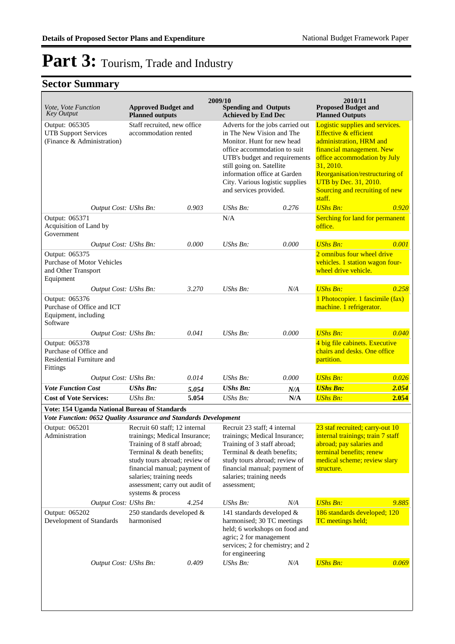| <i>Vote, Vote Function</i><br><b>Key Output</b>                                   | <b>Approved Budget and</b><br><b>Planned outputs</b>                                                                                                                                                                                                                            |       | 2009/10<br><b>Spending and Outputs</b><br><b>Achieved by End Dec</b>                                                                                                                                                                                                                   |       | 2010/11<br><b>Proposed Budget and</b><br><b>Planned Outputs</b>                                                                                                                                                                                                                  |       |
|-----------------------------------------------------------------------------------|---------------------------------------------------------------------------------------------------------------------------------------------------------------------------------------------------------------------------------------------------------------------------------|-------|----------------------------------------------------------------------------------------------------------------------------------------------------------------------------------------------------------------------------------------------------------------------------------------|-------|----------------------------------------------------------------------------------------------------------------------------------------------------------------------------------------------------------------------------------------------------------------------------------|-------|
| Output: 065305<br><b>UTB Support Services</b><br>(Finance & Administration)       | Staff recruited, new office<br>accommodation rented                                                                                                                                                                                                                             |       | Adverts for the jobs carried out<br>in The New Vision and The<br>Monitor. Hunt for new head<br>office accommodation to suit<br>UTB's budget and requirements<br>still going on. Satellite<br>information office at Garden<br>City. Various logistic supplies<br>and services provided. |       | Logistic supplies and services.<br><b>Effective &amp; efficient</b><br>administration, HRM and<br>financial management. New<br>office accommodation by July<br>31, 2010.<br>Reorganisation/restructuring of<br>UTB by Dec. 31, 2010.<br>Sourcing and recruiting of new<br>staff. |       |
| Output Cost: UShs Bn:                                                             |                                                                                                                                                                                                                                                                                 | 0.903 | $UShs Bn$ :                                                                                                                                                                                                                                                                            | 0.276 | <b>UShs Bn:</b>                                                                                                                                                                                                                                                                  | 0.920 |
| Output: 065371<br>Acquisition of Land by<br>Government                            |                                                                                                                                                                                                                                                                                 |       | N/A                                                                                                                                                                                                                                                                                    |       | Serching for land for permanent<br>office.                                                                                                                                                                                                                                       |       |
| Output Cost: UShs Bn:                                                             |                                                                                                                                                                                                                                                                                 | 0.000 | $UShs Bn$ :                                                                                                                                                                                                                                                                            | 0.000 | <b>UShs Bn:</b>                                                                                                                                                                                                                                                                  | 0.001 |
| Output: 065375<br>Purchase of Motor Vehicles<br>and Other Transport<br>Equipment  |                                                                                                                                                                                                                                                                                 |       |                                                                                                                                                                                                                                                                                        |       | 2 omnibus four wheel drive<br>vehicles. 1 station wagon four-<br>wheel drive vehicle.                                                                                                                                                                                            |       |
| Output Cost: UShs Bn:                                                             |                                                                                                                                                                                                                                                                                 | 3.270 | <b>UShs Bn:</b>                                                                                                                                                                                                                                                                        | N/A   | <b>UShs Bn:</b>                                                                                                                                                                                                                                                                  | 0.258 |
| Output: 065376<br>Purchase of Office and ICT<br>Equipment, including<br>Software  |                                                                                                                                                                                                                                                                                 |       |                                                                                                                                                                                                                                                                                        |       | 1 Photocopier. 1 fascimile (fax)<br>machine. 1 refrigerator.                                                                                                                                                                                                                     |       |
| Output Cost: UShs Bn:                                                             |                                                                                                                                                                                                                                                                                 | 0.041 | UShs Bn:                                                                                                                                                                                                                                                                               | 0.000 | <b>UShs Bn:</b>                                                                                                                                                                                                                                                                  | 0.040 |
| Output: 065378<br>Purchase of Office and<br>Residential Furniture and<br>Fittings |                                                                                                                                                                                                                                                                                 |       |                                                                                                                                                                                                                                                                                        |       | 4 big file cabinets. Executive<br>chairs and desks. One office<br>partition.                                                                                                                                                                                                     |       |
| Output Cost: UShs Bn:                                                             |                                                                                                                                                                                                                                                                                 | 0.014 | $UShs Bn$ :                                                                                                                                                                                                                                                                            | 0.000 | <b>UShs Bn:</b>                                                                                                                                                                                                                                                                  | 0.026 |
| <b>Vote Function Cost</b>                                                         | <b>UShs Bn:</b>                                                                                                                                                                                                                                                                 | 5.054 | <b>UShs Bn:</b>                                                                                                                                                                                                                                                                        | N/A   | <b>UShs Bn:</b>                                                                                                                                                                                                                                                                  | 2.054 |
| <b>Cost of Vote Services:</b>                                                     | <b>UShs Bn:</b>                                                                                                                                                                                                                                                                 | 5.054 | UShs Bn:                                                                                                                                                                                                                                                                               | N/A   | <b>UShs Bn:</b>                                                                                                                                                                                                                                                                  | 2.054 |
| Vote: 154 Uganda National Bureau of Standards                                     |                                                                                                                                                                                                                                                                                 |       |                                                                                                                                                                                                                                                                                        |       |                                                                                                                                                                                                                                                                                  |       |
| Vote Function: 0652 Quality Assurance and Standards Development                   |                                                                                                                                                                                                                                                                                 |       |                                                                                                                                                                                                                                                                                        |       |                                                                                                                                                                                                                                                                                  |       |
| Output: 065201<br>Administration                                                  | Recruit 60 staff; 12 internal<br>trainings; Medical Insurance;<br>Training of 8 staff abroad;<br>Terminal & death benefits;<br>study tours abroad; review of<br>financial manual; payment of<br>salaries; training needs<br>assessment; carry out audit of<br>systems & process |       | Recruit 23 staff; 4 internal<br>trainings; Medical Insurance;<br>Training of 3 staff abroad;<br>Terminal & death benefits;<br>study tours abroad; review of<br>financial manual; payment of<br>salaries; training needs<br>assessment;                                                 |       | 23 staf recruited; carry-out 10<br>internal trainings; train 7 staff<br>abroad; pay salaries and<br>terminal benefits; renew<br>medical scheme; review slary<br>structure.                                                                                                       |       |
| Output Cost: UShs Bn:                                                             |                                                                                                                                                                                                                                                                                 | 4.254 | UShs Bn:                                                                                                                                                                                                                                                                               | N/A   | <b>UShs Bn:</b>                                                                                                                                                                                                                                                                  | 9.885 |
| Output: 065202<br>Development of Standards                                        | 250 standards developed $\&$<br>harmonised                                                                                                                                                                                                                                      |       | 141 standards developed $\&$<br>harmonised; 30 TC meetings<br>held; 6 workshops on food and<br>agric; 2 for management<br>services; 2 for chemistry; and 2<br>for engineering                                                                                                          |       | 186 standards developed; 120<br>TC meetings held;                                                                                                                                                                                                                                |       |
| Output Cost: UShs Bn:                                                             |                                                                                                                                                                                                                                                                                 | 0.409 | <b>UShs Bn:</b>                                                                                                                                                                                                                                                                        | N/A   | <b>UShs Bn:</b>                                                                                                                                                                                                                                                                  | 0.069 |
|                                                                                   |                                                                                                                                                                                                                                                                                 |       |                                                                                                                                                                                                                                                                                        |       |                                                                                                                                                                                                                                                                                  |       |